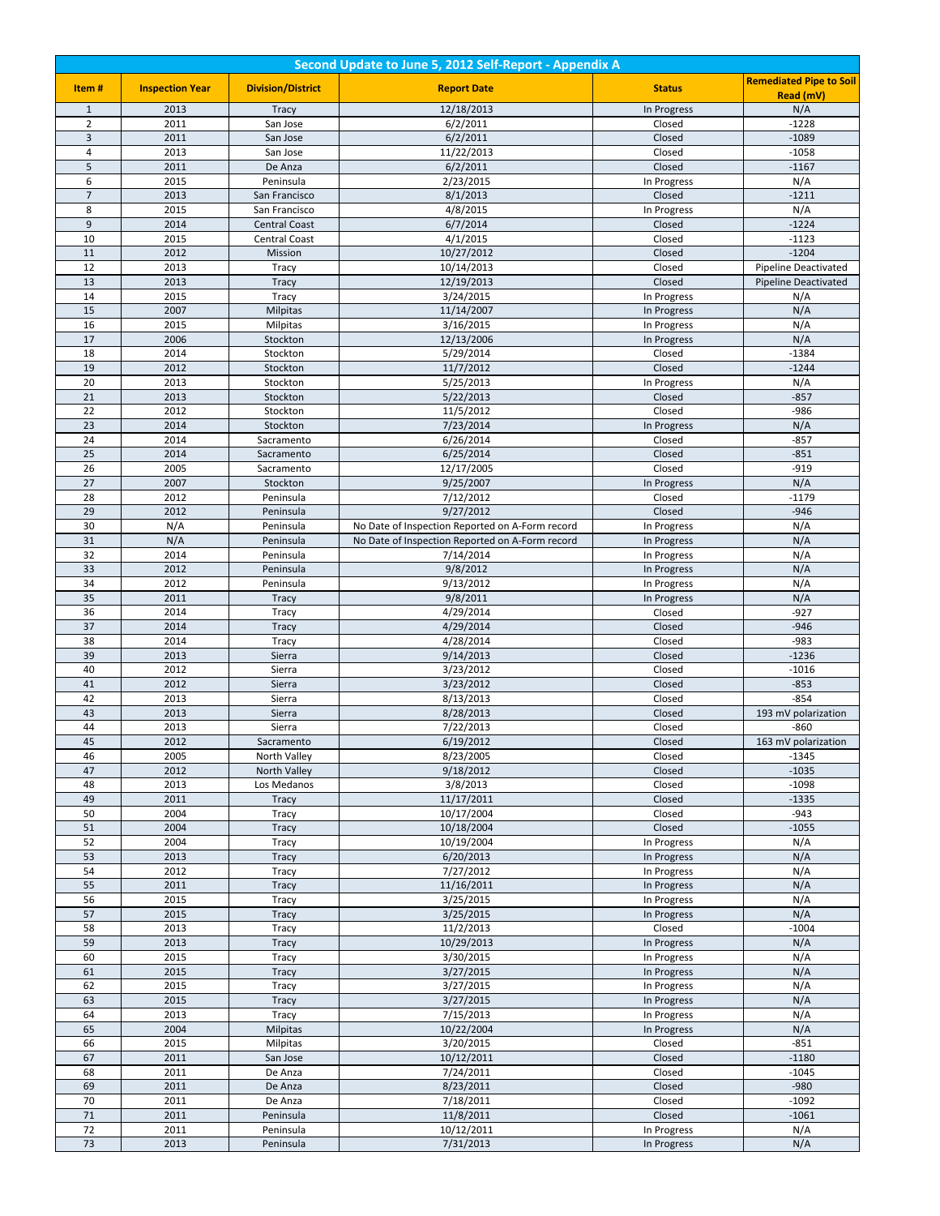| Second Update to June 5, 2012 Self-Report - Appendix A |                        |                          |                                                 |               |                                |  |
|--------------------------------------------------------|------------------------|--------------------------|-------------------------------------------------|---------------|--------------------------------|--|
| Item#                                                  | <b>Inspection Year</b> | <b>Division/District</b> | <b>Report Date</b>                              | <b>Status</b> | <b>Remediated Pipe to Soil</b> |  |
|                                                        |                        |                          |                                                 |               | Read (mV)                      |  |
| $\mathbf{1}$                                           | 2013                   | <b>Tracy</b>             | 12/18/2013                                      | In Progress   | N/A                            |  |
| $\mathbf 2$                                            | 2011                   | San Jose                 | 6/2/2011                                        | Closed        | $-1228$                        |  |
| 3                                                      | 2011                   | San Jose                 | 6/2/2011                                        | Closed        | $-1089$                        |  |
| $\overline{4}$                                         | 2013                   | San Jose                 | 11/22/2013                                      | Closed        | $-1058$                        |  |
| $\sqrt{5}$                                             | 2011                   | De Anza                  | 6/2/2011                                        | Closed        | $-1167$                        |  |
| $\,6\,$                                                | 2015                   | Peninsula                | 2/23/2015                                       | In Progress   | N/A                            |  |
| $\overline{7}$                                         | 2013                   | San Francisco            | 8/1/2013                                        | Closed        | $-1211$                        |  |
| 8                                                      | 2015                   | San Francisco            | 4/8/2015                                        | In Progress   | N/A                            |  |
| $\overline{9}$                                         | 2014                   | <b>Central Coast</b>     | 6/7/2014                                        | Closed        | $-1224$                        |  |
| 10                                                     | 2015                   | <b>Central Coast</b>     | 4/1/2015                                        | Closed        | $-1123$                        |  |
| 11                                                     | 2012                   | Mission                  | 10/27/2012                                      | Closed        | $-1204$                        |  |
| 12                                                     | 2013                   | Tracy                    | 10/14/2013                                      | Closed        | Pipeline Deactivated           |  |
| 13                                                     | 2013                   | Tracy                    | 12/19/2013                                      | Closed        | <b>Pipeline Deactivated</b>    |  |
| 14                                                     | 2015                   | Tracy                    | 3/24/2015                                       | In Progress   | N/A                            |  |
| 15                                                     | 2007                   | <b>Milpitas</b>          | 11/14/2007                                      | In Progress   | N/A                            |  |
| 16                                                     | 2015                   | Milpitas                 | 3/16/2015                                       | In Progress   | N/A                            |  |
| 17                                                     | 2006                   | Stockton                 | 12/13/2006                                      | In Progress   | N/A                            |  |
| 18                                                     | 2014                   | Stockton                 | 5/29/2014                                       | Closed        | $-1384$                        |  |
| 19                                                     | 2012                   | Stockton                 | 11/7/2012                                       | Closed        | $-1244$                        |  |
| 20                                                     | 2013                   | Stockton                 | 5/25/2013                                       | In Progress   | N/A                            |  |
| 21                                                     | 2013                   | Stockton                 | 5/22/2013                                       | Closed        | $-857$                         |  |
| 22                                                     | 2012                   | Stockton                 | 11/5/2012                                       | Closed        | $-986$                         |  |
| 23                                                     | 2014                   | Stockton                 | 7/23/2014                                       | In Progress   | N/A                            |  |
| 24                                                     | 2014                   | Sacramento               | 6/26/2014                                       | Closed        | $-857$                         |  |
| 25                                                     | 2014                   | Sacramento               | 6/25/2014                                       | Closed        | $-851$                         |  |
| 26                                                     | 2005                   | Sacramento               | 12/17/2005                                      | Closed        | $-919$                         |  |
| $\overline{27}$                                        | 2007                   | Stockton                 | 9/25/2007                                       | In Progress   | N/A                            |  |
| 28                                                     | 2012                   | Peninsula                | 7/12/2012                                       | Closed        | $-1179$                        |  |
| 29                                                     | 2012                   | Peninsula                | 9/27/2012                                       | Closed        | $-946$                         |  |
| 30                                                     | N/A                    | Peninsula                | No Date of Inspection Reported on A-Form record | In Progress   | N/A                            |  |
| 31                                                     | N/A                    | Peninsula                | No Date of Inspection Reported on A-Form record | In Progress   | N/A                            |  |
| 32                                                     | 2014                   | Peninsula                | 7/14/2014                                       | In Progress   | N/A                            |  |
| 33                                                     | 2012                   | Peninsula                | 9/8/2012                                        | In Progress   | N/A                            |  |
| 34                                                     | 2012                   | Peninsula                | 9/13/2012                                       | In Progress   | N/A                            |  |
| 35                                                     | 2011                   | <b>Tracy</b>             | 9/8/2011                                        | In Progress   | N/A                            |  |
| 36                                                     | 2014                   | Tracy                    | 4/29/2014                                       | Closed        | $-927$                         |  |
| 37                                                     | 2014                   | <b>Tracy</b>             | 4/29/2014                                       | Closed        | $-946$                         |  |
| 38                                                     | 2014                   | Tracy                    | 4/28/2014                                       | Closed        | $-983$                         |  |
| 39                                                     | 2013                   |                          |                                                 | Closed        | $-1236$                        |  |
| 40                                                     |                        | Sierra                   | 9/14/2013                                       |               |                                |  |
| 41                                                     | 2012                   | Sierra                   | 3/23/2012                                       | Closed        | $-1016$                        |  |
|                                                        | 2012                   | Sierra                   | 3/23/2012                                       | Closed        | $-853$                         |  |
| 42                                                     | 2013                   | Sierra                   | 8/13/2013                                       | Closed        | $-854$                         |  |
| 43                                                     | 2013                   | Sierra                   | 8/28/2013                                       | Closed        | 193 mV polarization            |  |
| 44                                                     | 2013                   | Sierra                   | 7/22/2013                                       | Closed        | $-860$                         |  |
| 45                                                     | 2012                   | Sacramento               | 6/19/2012                                       | Closed        | 163 mV polarization            |  |
| 46                                                     | 2005                   | North Valley             | 8/23/2005                                       | Closed        | $-1345$                        |  |
| 47                                                     | 2012                   | North Valley             | 9/18/2012                                       | Closed        | $-1035$                        |  |
| 48                                                     | 2013                   | Los Medanos              | 3/8/2013                                        | Closed        | $-1098$                        |  |
| 49                                                     | 2011                   | <b>Tracy</b>             | 11/17/2011                                      | Closed        | $-1335$                        |  |
| 50                                                     | 2004                   | Tracy                    | 10/17/2004                                      | Closed        | $-943$                         |  |
| 51                                                     | 2004                   | <b>Tracy</b>             | 10/18/2004                                      | Closed        | $-1055$                        |  |
| 52                                                     | 2004                   | Tracy                    | 10/19/2004                                      | In Progress   | N/A                            |  |
| 53                                                     | 2013                   | <b>Tracy</b>             | 6/20/2013                                       | In Progress   | N/A                            |  |
| 54                                                     | 2012                   | Tracy                    | 7/27/2012                                       | In Progress   | N/A                            |  |
| 55                                                     | 2011                   | <b>Tracy</b>             | 11/16/2011                                      | In Progress   | N/A                            |  |
| 56                                                     | 2015                   | Tracy                    | 3/25/2015                                       | In Progress   | N/A                            |  |
| 57                                                     | 2015                   | <b>Tracy</b>             | 3/25/2015                                       | In Progress   | N/A                            |  |
| 58                                                     | 2013                   | Tracy                    | 11/2/2013                                       | Closed        | $-1004$                        |  |
| 59                                                     | 2013                   | Tracy                    | 10/29/2013                                      | In Progress   | N/A                            |  |
| 60                                                     | 2015                   | Tracy                    | 3/30/2015                                       | In Progress   | N/A                            |  |
| 61                                                     | 2015                   | Tracy                    | 3/27/2015                                       | In Progress   | N/A                            |  |
| 62                                                     | 2015                   | Tracy                    | 3/27/2015                                       | In Progress   | N/A                            |  |
| 63                                                     | 2015                   | Tracy                    | 3/27/2015                                       | In Progress   | N/A                            |  |
| 64                                                     | 2013                   | Tracy                    | 7/15/2013                                       | In Progress   | N/A                            |  |
| 65                                                     | 2004                   | <b>Milpitas</b>          | 10/22/2004                                      | In Progress   | N/A                            |  |
| 66                                                     | 2015                   | Milpitas                 | 3/20/2015                                       | Closed        | $-851$                         |  |
| 67                                                     | 2011                   | San Jose                 | 10/12/2011                                      | Closed        | $-1180$                        |  |
| 68                                                     | 2011                   | De Anza                  | 7/24/2011                                       | Closed        | $-1045$                        |  |
| 69                                                     | 2011                   | De Anza                  | 8/23/2011                                       | Closed        | $-980$                         |  |
| 70                                                     | 2011                   | De Anza                  | 7/18/2011                                       | Closed        | $-1092$                        |  |
| 71                                                     | 2011                   | Peninsula                | 11/8/2011                                       | Closed        | $-1061$                        |  |
| 72                                                     | 2011                   | Peninsula                | 10/12/2011                                      | In Progress   | N/A                            |  |
| 73                                                     | 2013                   | Peninsula                | 7/31/2013                                       | In Progress   | N/A                            |  |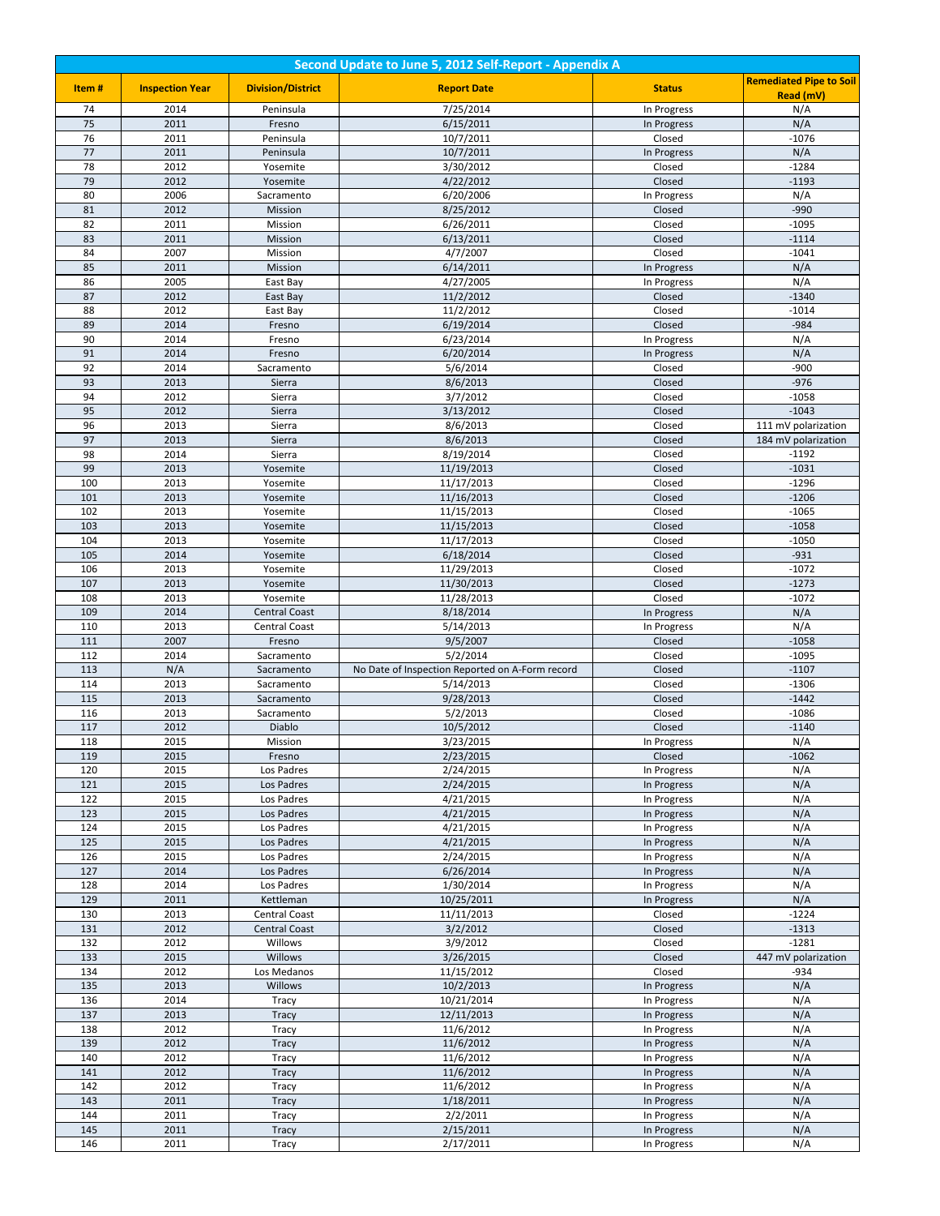| Second Update to June 5, 2012 Self-Report - Appendix A |                        |                          |                                                 |                            |                                |
|--------------------------------------------------------|------------------------|--------------------------|-------------------------------------------------|----------------------------|--------------------------------|
| Item#                                                  | <b>Inspection Year</b> | <b>Division/District</b> | <b>Report Date</b>                              | <b>Status</b>              | <b>Remediated Pipe to Soil</b> |
|                                                        |                        |                          |                                                 |                            | Read (mV)                      |
| 74<br>75                                               | 2014<br>2011           | Peninsula                | 7/25/2014<br>6/15/2011                          | In Progress                | N/A                            |
| 76                                                     | 2011                   | Fresno<br>Peninsula      | 10/7/2011                                       | In Progress<br>Closed      | N/A<br>-1076                   |
| 77                                                     | 2011                   | Peninsula                | 10/7/2011                                       | In Progress                | N/A                            |
| 78                                                     | 2012                   | Yosemite                 | 3/30/2012                                       | Closed                     | $-1284$                        |
| 79                                                     | 2012                   | Yosemite                 | 4/22/2012                                       | Closed                     | $-1193$                        |
| 80                                                     | 2006                   | Sacramento               | 6/20/2006                                       | In Progress                | N/A                            |
| 81                                                     | 2012                   | Mission                  | 8/25/2012                                       | Closed                     | $-990$                         |
| 82                                                     | 2011                   | Mission                  | 6/26/2011                                       | Closed                     | $-1095$                        |
| 83<br>84                                               | 2011<br>2007           | Mission<br>Mission       | 6/13/2011<br>4/7/2007                           | Closed<br>Closed           | $-1114$<br>$-1041$             |
| 85                                                     | 2011                   | Mission                  | 6/14/2011                                       | In Progress                | N/A                            |
| 86                                                     | 2005                   | East Bay                 | 4/27/2005                                       | In Progress                | N/A                            |
| 87                                                     | 2012                   | East Bay                 | 11/2/2012                                       | Closed                     | $-1340$                        |
| 88                                                     | 2012                   | East Bay                 | 11/2/2012                                       | Closed                     | $-1014$                        |
| 89                                                     | 2014                   | Fresno                   | 6/19/2014                                       | Closed                     | $-984$                         |
| 90                                                     | 2014                   | Fresno                   | 6/23/2014                                       | In Progress                | N/A                            |
| 91                                                     | 2014                   | Fresno                   | 6/20/2014                                       | In Progress                | N/A                            |
| 92                                                     | 2014                   | Sacramento               | 5/6/2014                                        | Closed                     | $-900$                         |
| 93<br>94                                               | 2013<br>2012           | Sierra<br>Sierra         | 8/6/2013<br>3/7/2012                            | Closed<br>Closed           | $-976$<br>$-1058$              |
| 95                                                     | 2012                   | Sierra                   | 3/13/2012                                       | Closed                     | $-1043$                        |
| 96                                                     | 2013                   | Sierra                   | 8/6/2013                                        | Closed                     | 111 mV polarization            |
| 97                                                     | 2013                   | Sierra                   | 8/6/2013                                        | Closed                     | 184 mV polarization            |
| 98                                                     | 2014                   | Sierra                   | 8/19/2014                                       | Closed                     | $-1192$                        |
| 99                                                     | 2013                   | Yosemite                 | 11/19/2013                                      | Closed                     | $-1031$                        |
| 100                                                    | 2013                   | Yosemite                 | 11/17/2013                                      | Closed                     | $-1296$                        |
| 101                                                    | 2013                   | Yosemite                 | 11/16/2013                                      | Closed                     | $-1206$                        |
| 102<br>103                                             | 2013<br>2013           | Yosemite<br>Yosemite     | 11/15/2013<br>11/15/2013                        | Closed<br>Closed           | $-1065$<br>$-1058$             |
| 104                                                    | 2013                   | Yosemite                 | 11/17/2013                                      | Closed                     | $-1050$                        |
| 105                                                    | 2014                   | Yosemite                 | 6/18/2014                                       | Closed                     | $-931$                         |
| 106                                                    | 2013                   | Yosemite                 | 11/29/2013                                      | Closed                     | $-1072$                        |
| 107                                                    | 2013                   | Yosemite                 | 11/30/2013                                      | Closed                     | $-1273$                        |
| 108                                                    | 2013                   | Yosemite                 | 11/28/2013                                      | Closed                     | $-1072$                        |
| 109                                                    | 2014                   | <b>Central Coast</b>     | 8/18/2014                                       | In Progress                | N/A                            |
| 110                                                    | 2013                   | Central Coast            | 5/14/2013                                       | In Progress                | N/A                            |
| 111<br>112                                             | 2007<br>2014           | Fresno<br>Sacramento     | 9/5/2007<br>5/2/2014                            | Closed<br>Closed           | $-1058$<br>$-1095$             |
| 113                                                    | N/A                    | Sacramento               | No Date of Inspection Reported on A-Form record | Closed                     | $-1107$                        |
| 114                                                    | 2013                   | Sacramento               | 5/14/2013                                       | Closed                     | $-1306$                        |
| 115                                                    | 2013                   | Sacramento               | 9/28/2013                                       | Closed                     | $-1442$                        |
| 116                                                    | 2013                   | Sacramento               | 5/2/2013                                        | Closed                     | $-1086$                        |
| 117                                                    | 2012                   | Diablo                   | 10/5/2012                                       | Closed                     | $-1140$                        |
| 118                                                    | 2015                   | Mission                  | 3/23/2015                                       | In Progress                | N/A                            |
| 119                                                    | 2015                   | Fresno                   | 2/23/2015                                       | Closed                     | $-1062$                        |
| 120<br>121                                             | 2015<br>2015           | Los Padres<br>Los Padres | 2/24/2015<br>2/24/2015                          | In Progress<br>In Progress | N/A<br>N/A                     |
| 122                                                    | 2015                   | Los Padres               | 4/21/2015                                       | In Progress                | N/A                            |
| 123                                                    | 2015                   | Los Padres               | 4/21/2015                                       | In Progress                | N/A                            |
| 124                                                    | 2015                   | Los Padres               | 4/21/2015                                       | In Progress                | N/A                            |
| 125                                                    | 2015                   | Los Padres               | 4/21/2015                                       | In Progress                | N/A                            |
| 126                                                    | 2015                   | Los Padres               | 2/24/2015                                       | In Progress                | N/A                            |
| 127                                                    | 2014                   | Los Padres               | 6/26/2014                                       | In Progress                | N/A                            |
| 128<br>129                                             | 2014<br>2011           | Los Padres<br>Kettleman  | 1/30/2014<br>10/25/2011                         | In Progress                | N/A<br>N/A                     |
| 130                                                    | 2013                   | Central Coast            | 11/11/2013                                      | In Progress<br>Closed      | $-1224$                        |
| 131                                                    | 2012                   | <b>Central Coast</b>     | 3/2/2012                                        | Closed                     | $-1313$                        |
| 132                                                    | 2012                   | Willows                  | 3/9/2012                                        | Closed                     | $-1281$                        |
| 133                                                    | 2015                   | Willows                  | 3/26/2015                                       | Closed                     | 447 mV polarization            |
| 134                                                    | 2012                   | Los Medanos              | 11/15/2012                                      | Closed                     | $-934$                         |
| 135                                                    | 2013                   | Willows                  | 10/2/2013                                       | In Progress                | N/A                            |
| 136                                                    | 2014                   | Tracy                    | 10/21/2014                                      | In Progress                | N/A                            |
| 137                                                    | 2013                   | Tracy                    | 12/11/2013                                      | In Progress                | N/A                            |
| 138<br>139                                             | 2012<br>2012           | Tracy<br>Tracy           | 11/6/2012<br>11/6/2012                          | In Progress<br>In Progress | N/A<br>N/A                     |
| 140                                                    | 2012                   | Tracy                    | 11/6/2012                                       | In Progress                | N/A                            |
| 141                                                    | 2012                   | Tracy                    | 11/6/2012                                       | In Progress                | N/A                            |
| 142                                                    | 2012                   | Tracy                    | 11/6/2012                                       | In Progress                | N/A                            |
| 143                                                    | 2011                   | Tracy                    | 1/18/2011                                       | In Progress                | N/A                            |
| 144                                                    | 2011                   | Tracy                    | 2/2/2011                                        | In Progress                | N/A                            |
| 145                                                    | 2011                   | Tracy                    | 2/15/2011                                       | In Progress                | N/A                            |
| 146                                                    | 2011                   | Tracy                    | 2/17/2011                                       | In Progress                | N/A                            |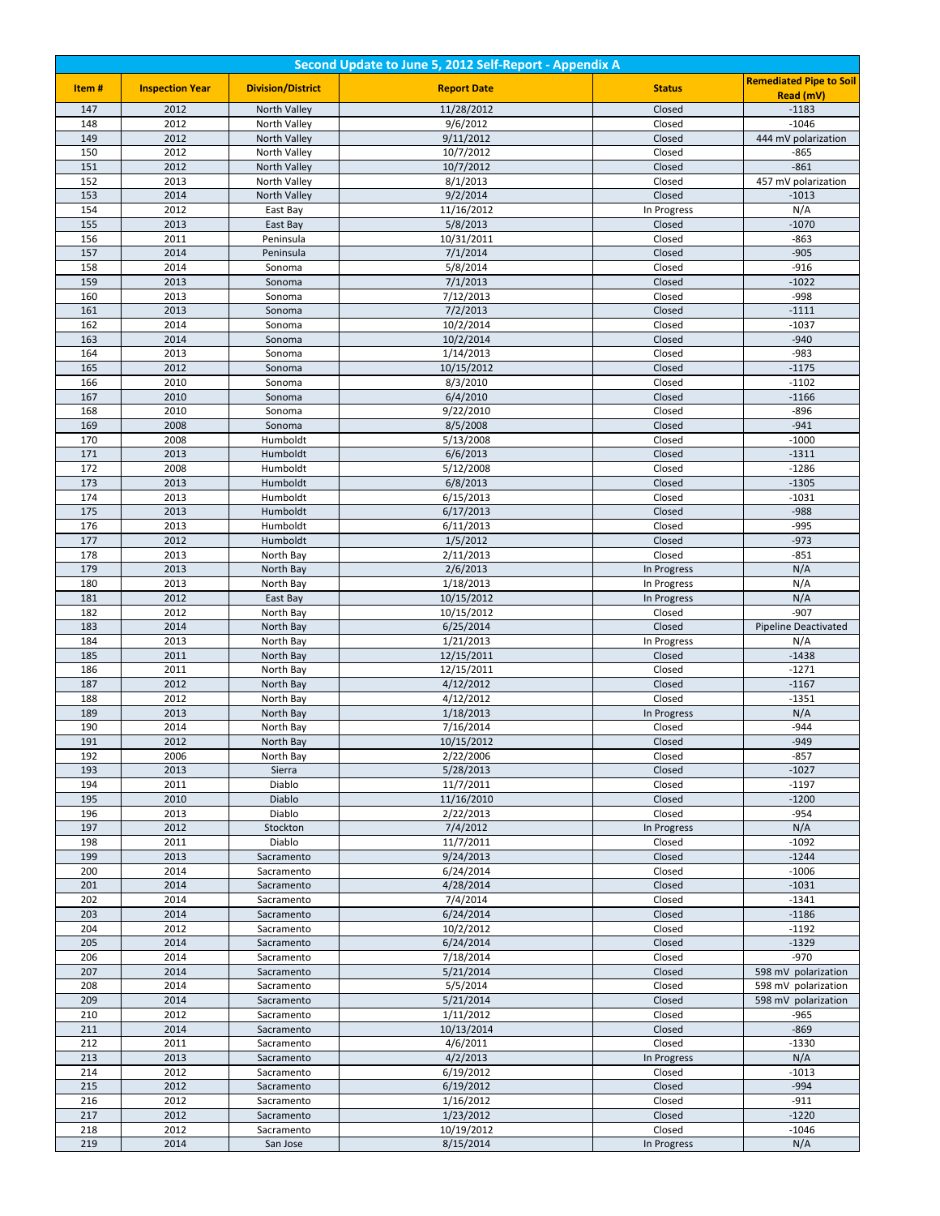| Second Update to June 5, 2012 Self-Report - Appendix A |                        |                              |                         |                       |                                |
|--------------------------------------------------------|------------------------|------------------------------|-------------------------|-----------------------|--------------------------------|
| Item#                                                  | <b>Inspection Year</b> | <b>Division/District</b>     | <b>Report Date</b>      | <b>Status</b>         | <b>Remediated Pipe to Soil</b> |
|                                                        |                        |                              |                         |                       | Read (mV)                      |
| 147<br>148                                             | 2012<br>2012           | North Valley                 | 11/28/2012<br>9/6/2012  | Closed<br>Closed      | $-1183$<br>$-1046$             |
| 149                                                    | 2012                   | North Valley<br>North Valley | 9/11/2012               | Closed                | 444 mV polarization            |
| 150                                                    | 2012                   | North Valley                 | 10/7/2012               | Closed                | $-865$                         |
| 151                                                    | 2012                   | North Valley                 | 10/7/2012               | Closed                | $-861$                         |
| 152                                                    | 2013                   | North Valley                 | 8/1/2013                | Closed                | 457 mV polarization            |
| 153                                                    | 2014                   | North Valley                 | 9/2/2014                | Closed                | $-1013$                        |
| 154                                                    | 2012                   | East Bay                     | 11/16/2012              | In Progress           | N/A                            |
| 155                                                    | 2013                   | East Bay                     | 5/8/2013                | Closed                | $-1070$                        |
| 156<br>157                                             | 2011<br>2014           | Peninsula                    | 10/31/2011<br>7/1/2014  | Closed<br>Closed      | $-863$<br>$-905$               |
| 158                                                    | 2014                   | Peninsula<br>Sonoma          | 5/8/2014                | Closed                | $-916$                         |
| 159                                                    | 2013                   | Sonoma                       | 7/1/2013                | Closed                | $-1022$                        |
| 160                                                    | 2013                   | Sonoma                       | 7/12/2013               | Closed                | $-998$                         |
| 161                                                    | 2013                   | Sonoma                       | 7/2/2013                | Closed                | $-1111$                        |
| 162                                                    | 2014                   | Sonoma                       | 10/2/2014               | Closed                | $-1037$                        |
| 163                                                    | 2014                   | Sonoma                       | 10/2/2014               | Closed                | $-940$                         |
| 164                                                    | 2013                   | Sonoma                       | 1/14/2013               | Closed                | $-983$                         |
| 165                                                    | 2012                   | Sonoma                       | 10/15/2012              | Closed                | $-1175$                        |
| 166<br>167                                             | 2010<br>2010           | Sonoma<br>Sonoma             | 8/3/2010<br>6/4/2010    | Closed<br>Closed      | $-1102$<br>$-1166$             |
| 168                                                    | 2010                   | Sonoma                       | 9/22/2010               | Closed                | $-896$                         |
| 169                                                    | 2008                   | Sonoma                       | 8/5/2008                | Closed                | $-941$                         |
| 170                                                    | 2008                   | Humboldt                     | 5/13/2008               | Closed                | $-1000$                        |
| 171                                                    | 2013                   | Humboldt                     | 6/6/2013                | Closed                | $-1311$                        |
| 172                                                    | 2008                   | Humboldt                     | 5/12/2008               | Closed                | $-1286$                        |
| 173                                                    | 2013                   | Humboldt                     | 6/8/2013                | Closed                | $-1305$                        |
| 174                                                    | 2013                   | Humboldt                     | 6/15/2013               | Closed                | $-1031$                        |
| 175<br>176                                             | 2013<br>2013           | Humboldt<br>Humboldt         | 6/17/2013<br>6/11/2013  | Closed<br>Closed      | $-988$<br>$-995$               |
| 177                                                    | 2012                   | Humboldt                     | 1/5/2012                | Closed                | $-973$                         |
| 178                                                    | 2013                   | North Bay                    | 2/11/2013               | Closed                | $-851$                         |
| 179                                                    | 2013                   | North Bay                    | 2/6/2013                | In Progress           | N/A                            |
| 180                                                    | 2013                   | North Bay                    | 1/18/2013               | In Progress           | N/A                            |
| 181                                                    | 2012                   | East Bay                     | 10/15/2012              | In Progress           | N/A                            |
| 182                                                    | 2012                   | North Bay                    | 10/15/2012              | Closed                | $-907$                         |
| 183                                                    | 2014                   | North Bay                    | 6/25/2014               | Closed                | <b>Pipeline Deactivated</b>    |
| 184<br>185                                             | 2013<br>2011           | North Bay<br>North Bay       | 1/21/2013<br>12/15/2011 | In Progress<br>Closed | N/A<br>$-1438$                 |
| 186                                                    | 2011                   | North Bay                    | 12/15/2011              | Closed                | $-1271$                        |
| 187                                                    | 2012                   | North Bay                    | 4/12/2012               | Closed                | $-1167$                        |
| 188                                                    | 2012                   | North Bay                    | 4/12/2012               | Closed                | $-1351$                        |
| 189                                                    | 2013                   | North Bay                    | 1/18/2013               | In Progress           | N/A                            |
| 190                                                    | 2014                   | North Bay                    | 7/16/2014               | Closed                | $-944$                         |
| 191                                                    | 2012                   | North Bay                    | 10/15/2012              | Closed                | $-949$                         |
| 192<br>193                                             | 2006                   | North Bay                    | 2/22/2006               | Closed                | $-857$<br>$-1027$              |
| 194                                                    | 2013<br>2011           | Sierra<br>Diablo             | 5/28/2013<br>11/7/2011  | Closed<br>Closed      | $-1197$                        |
| 195                                                    | 2010                   | Diablo                       | 11/16/2010              | Closed                | $-1200$                        |
| 196                                                    | 2013                   | Diablo                       | 2/22/2013               | Closed                | $-954$                         |
| 197                                                    | 2012                   | Stockton                     | 7/4/2012                | In Progress           | N/A                            |
| 198                                                    | 2011                   | Diablo                       | 11/7/2011               | Closed                | $-1092$                        |
| 199                                                    | 2013                   | Sacramento                   | 9/24/2013               | Closed                | $-1244$                        |
| 200                                                    | 2014                   | Sacramento                   | 6/24/2014               | Closed                | $-1006$                        |
| 201<br>202                                             | 2014<br>2014           | Sacramento<br>Sacramento     | 4/28/2014<br>7/4/2014   | Closed<br>Closed      | $-1031$<br>$-1341$             |
| 203                                                    | 2014                   | Sacramento                   | 6/24/2014               | Closed                | $-1186$                        |
| 204                                                    | 2012                   | Sacramento                   | 10/2/2012               | Closed                | $-1192$                        |
| 205                                                    | 2014                   | Sacramento                   | 6/24/2014               | Closed                | $-1329$                        |
| 206                                                    | 2014                   | Sacramento                   | 7/18/2014               | Closed                | $-970$                         |
| 207                                                    | 2014                   | Sacramento                   | 5/21/2014               | Closed                | 598 mV polarization            |
| 208                                                    | 2014                   | Sacramento                   | 5/5/2014                | Closed                | 598 mV polarization            |
| 209                                                    | 2014                   | Sacramento                   | 5/21/2014               | Closed                | 598 mV polarization            |
| 210                                                    | 2012                   | Sacramento                   | 1/11/2012               | Closed                | -965                           |
| 211<br>212                                             | 2014<br>2011           | Sacramento<br>Sacramento     | 10/13/2014<br>4/6/2011  | Closed<br>Closed      | $-869$<br>-1330                |
| 213                                                    | 2013                   | Sacramento                   | 4/2/2013                | In Progress           | N/A                            |
| 214                                                    | 2012                   | Sacramento                   | 6/19/2012               | Closed                | $-1013$                        |
| 215                                                    | 2012                   | Sacramento                   | 6/19/2012               | Closed                | $-994$                         |
| 216                                                    | 2012                   | Sacramento                   | 1/16/2012               | Closed                | $-911$                         |
| 217                                                    | 2012                   | Sacramento                   | 1/23/2012               | Closed                | $-1220$                        |
| 218                                                    | 2012                   | Sacramento                   | 10/19/2012              | Closed                | $-1046$                        |
| 219                                                    | 2014                   | San Jose                     | 8/15/2014               | In Progress           | N/A                            |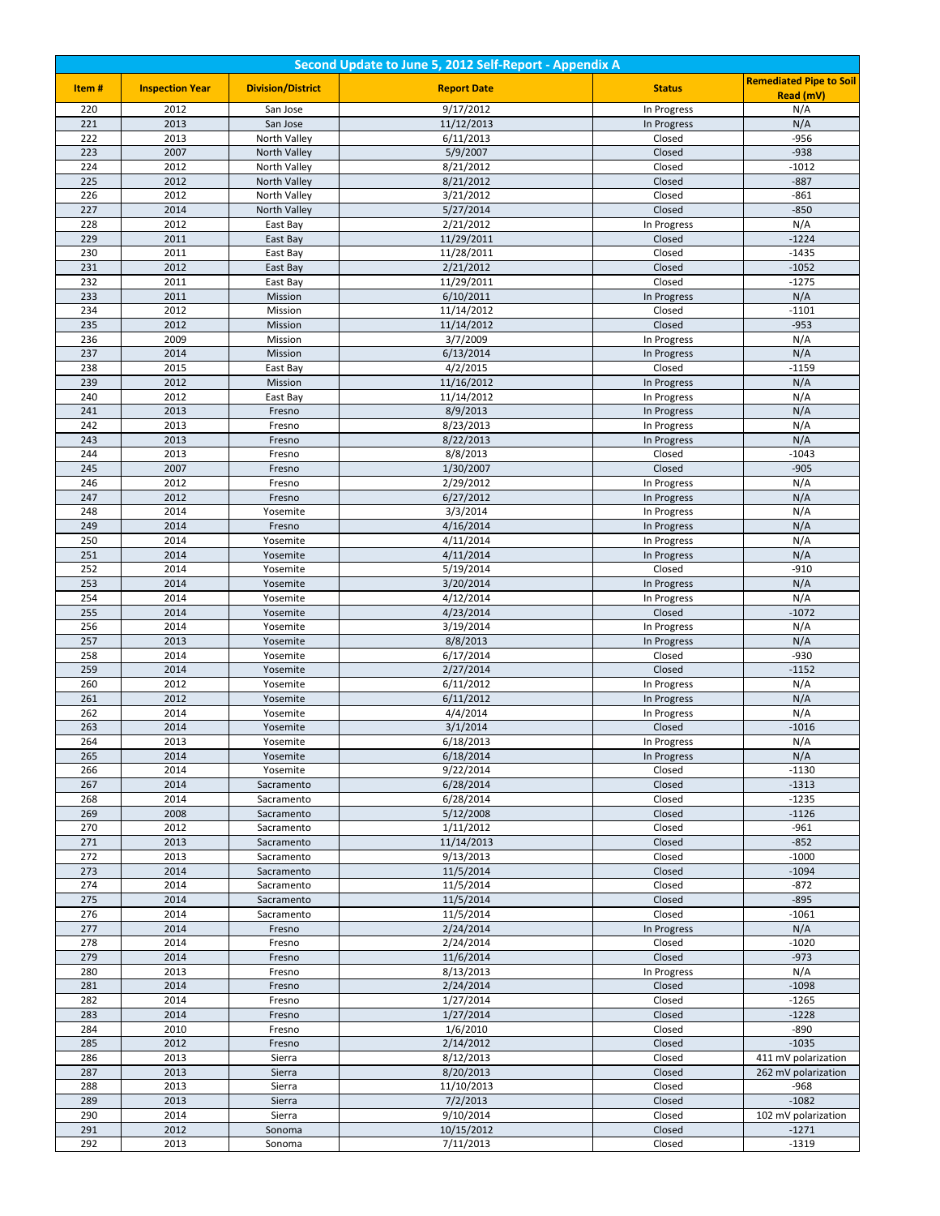| Second Update to June 5, 2012 Self-Report - Appendix A |                        |                          |                          |                            |                                |
|--------------------------------------------------------|------------------------|--------------------------|--------------------------|----------------------------|--------------------------------|
| Item#                                                  | <b>Inspection Year</b> | <b>Division/District</b> | <b>Report Date</b>       | <b>Status</b>              | <b>Remediated Pipe to Soil</b> |
|                                                        |                        |                          |                          |                            | Read (mV)                      |
| 220                                                    | 2012                   | San Jose                 | 9/17/2012                | In Progress                | N/A                            |
| 221<br>222                                             | 2013<br>2013           | San Jose<br>North Valley | 11/12/2013<br>6/11/2013  | In Progress<br>Closed      | N/A<br>$-956$                  |
| 223                                                    | 2007                   | North Valley             | 5/9/2007                 | Closed                     | $-938$                         |
| 224                                                    | 2012                   | North Valley             | 8/21/2012                | Closed                     | $-1012$                        |
| 225                                                    | 2012                   | North Valley             | 8/21/2012                | Closed                     | $-887$                         |
| 226                                                    | 2012                   | North Valley             | 3/21/2012                | Closed                     | $-861$                         |
| 227                                                    | 2014                   | North Valley             | 5/27/2014                | Closed                     | $-850$                         |
| 228                                                    | 2012                   | East Bay                 | 2/21/2012                | In Progress                | N/A                            |
| 229                                                    | 2011                   | East Bay                 | 11/29/2011               | Closed                     | $-1224$                        |
| 230                                                    | 2011                   | East Bay                 | 11/28/2011               | Closed                     | $-1435$                        |
| 231                                                    | 2012                   | East Bay                 | 2/21/2012                | Closed                     | $-1052$                        |
| 232                                                    | 2011                   | East Bay                 | 11/29/2011               | Closed                     | $-1275$                        |
| 233                                                    | 2011                   | Mission                  | 6/10/2011                | In Progress                | N/A                            |
| 234                                                    | 2012                   | Mission                  | 11/14/2012               | Closed                     | $-1101$                        |
| 235                                                    | 2012                   | Mission                  | 11/14/2012               | Closed                     | $-953$                         |
| 236                                                    | 2009                   | Mission                  | 3/7/2009                 | In Progress                | N/A                            |
| 237                                                    | 2014                   | Mission                  | 6/13/2014                | In Progress                | N/A                            |
| 238                                                    | 2015                   | East Bay                 | 4/2/2015                 | Closed                     | $-1159$                        |
| 239<br>240                                             | 2012<br>2012           | Mission                  | 11/16/2012<br>11/14/2012 | In Progress                | N/A<br>N/A                     |
| 241                                                    | 2013                   | East Bay<br>Fresno       | 8/9/2013                 | In Progress<br>In Progress | N/A                            |
| 242                                                    | 2013                   | Fresno                   | 8/23/2013                | In Progress                | N/A                            |
| 243                                                    | 2013                   | Fresno                   | 8/22/2013                | In Progress                | N/A                            |
| 244                                                    | 2013                   | Fresno                   | 8/8/2013                 | Closed                     | $-1043$                        |
| 245                                                    | 2007                   | Fresno                   | 1/30/2007                | Closed                     | $-905$                         |
| 246                                                    | 2012                   | Fresno                   | 2/29/2012                | In Progress                | N/A                            |
| 247                                                    | 2012                   | Fresno                   | 6/27/2012                | In Progress                | N/A                            |
| 248                                                    | 2014                   | Yosemite                 | 3/3/2014                 | In Progress                | N/A                            |
| 249                                                    | 2014                   | Fresno                   | 4/16/2014                | In Progress                | N/A                            |
| 250                                                    | 2014                   | Yosemite                 | 4/11/2014                | In Progress                | N/A                            |
| 251                                                    | 2014                   | Yosemite                 | 4/11/2014                | In Progress                | N/A                            |
| 252                                                    | 2014                   | Yosemite                 | 5/19/2014                | Closed                     | $-910$                         |
| 253                                                    | 2014                   | Yosemite                 | 3/20/2014                | In Progress                | N/A                            |
| 254<br>255                                             | 2014                   | Yosemite                 | 4/12/2014                | In Progress                | N/A                            |
| 256                                                    | 2014<br>2014           | Yosemite<br>Yosemite     | 4/23/2014<br>3/19/2014   | Closed<br>In Progress      | $-1072$<br>N/A                 |
| 257                                                    | 2013                   | Yosemite                 | 8/8/2013                 | In Progress                | N/A                            |
| 258                                                    | 2014                   | Yosemite                 | 6/17/2014                | Closed                     | $-930$                         |
| 259                                                    | 2014                   | Yosemite                 | 2/27/2014                | Closed                     | $-1152$                        |
| 260                                                    | 2012                   | Yosemite                 | 6/11/2012                | In Progress                | N/A                            |
| 261                                                    | 2012                   | Yosemite                 | 6/11/2012                | In Progress                | N/A                            |
| 262                                                    | 2014                   | Yosemite                 | 4/4/2014                 | In Progress                | N/A                            |
| 263                                                    | 2014                   | Yosemite                 | 3/1/2014                 | Closed                     | $-1016$                        |
| 264                                                    | 2013                   | Yosemite                 | 6/18/2013                | In Progress                | N/A                            |
| 265                                                    | 2014                   | Yosemite                 | 6/18/2014                | In Progress                | N/A                            |
| 266                                                    | 2014                   | Yosemite                 | 9/22/2014                | Closed                     | $-1130$                        |
| 267                                                    | 2014                   | Sacramento               | 6/28/2014                | Closed                     | $-1313$                        |
| 268                                                    | 2014                   | Sacramento               | 6/28/2014                | Closed                     | $-1235$                        |
| 269<br>270                                             | 2008<br>2012           | Sacramento               | 5/12/2008<br>1/11/2012   | Closed<br>Closed           | $-1126$<br>$-961$              |
| 271                                                    | 2013                   | Sacramento<br>Sacramento | 11/14/2013               | Closed                     | $-852$                         |
| 272                                                    | 2013                   | Sacramento               | 9/13/2013                | Closed                     | $-1000$                        |
| 273                                                    | 2014                   | Sacramento               | 11/5/2014                | Closed                     | $-1094$                        |
| 274                                                    | 2014                   | Sacramento               | 11/5/2014                | Closed                     | $-872$                         |
| 275                                                    | 2014                   | Sacramento               | 11/5/2014                | Closed                     | $-895$                         |
| 276                                                    | 2014                   | Sacramento               | 11/5/2014                | Closed                     | $-1061$                        |
| 277                                                    | 2014                   | Fresno                   | 2/24/2014                | In Progress                | N/A                            |
| 278                                                    | 2014                   | Fresno                   | 2/24/2014                | Closed                     | $-1020$                        |
| 279                                                    | 2014                   | Fresno                   | 11/6/2014                | Closed                     | $-973$                         |
| 280                                                    | 2013                   | Fresno                   | 8/13/2013                | In Progress                | N/A                            |
| 281                                                    | 2014                   | Fresno                   | 2/24/2014                | Closed                     | $-1098$                        |
| 282                                                    | 2014                   | Fresno                   | 1/27/2014                | Closed                     | $-1265$                        |
| 283                                                    | 2014                   | Fresno                   | 1/27/2014                | Closed                     | $-1228$                        |
| 284<br>285                                             | 2010<br>2012           | Fresno                   | 1/6/2010<br>2/14/2012    | Closed<br>Closed           | $-890$<br>$-1035$              |
| 286                                                    | 2013                   | Fresno<br>Sierra         | 8/12/2013                | Closed                     | 411 mV polarization            |
| 287                                                    | 2013                   | Sierra                   | 8/20/2013                | Closed                     | 262 mV polarization            |
| 288                                                    | 2013                   | Sierra                   | 11/10/2013               | Closed                     | -968                           |
| 289                                                    | 2013                   | Sierra                   | 7/2/2013                 | Closed                     | $-1082$                        |
| 290                                                    | 2014                   | Sierra                   | 9/10/2014                | Closed                     | 102 mV polarization            |
| 291                                                    | 2012                   | Sonoma                   | 10/15/2012               | Closed                     | $-1271$                        |
| 292                                                    | 2013                   | Sonoma                   | 7/11/2013                | Closed                     | $-1319$                        |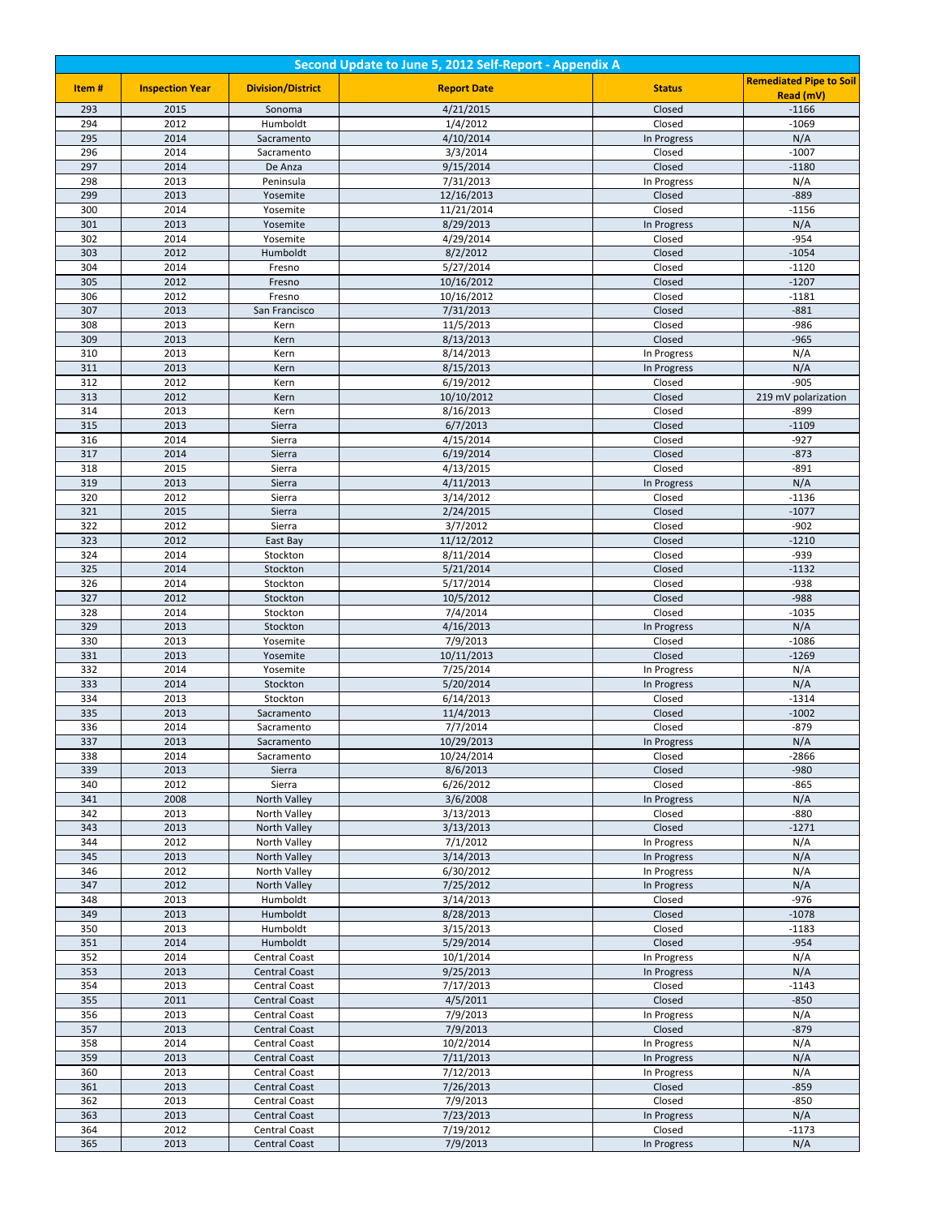| Second Update to June 5, 2012 Self-Report - Appendix A |                        |                                              |                         |                            |                                |  |
|--------------------------------------------------------|------------------------|----------------------------------------------|-------------------------|----------------------------|--------------------------------|--|
| Item#                                                  | <b>Inspection Year</b> | <b>Division/District</b>                     | <b>Report Date</b>      | <b>Status</b>              | <b>Remediated Pipe to Soil</b> |  |
|                                                        |                        |                                              |                         |                            | Read (mV)                      |  |
| 293<br>294                                             | 2015<br>2012           | Sonoma<br>Humboldt                           | 4/21/2015<br>1/4/2012   | Closed<br>Closed           | $-1166$<br>$-1069$             |  |
| 295                                                    | 2014                   | Sacramento                                   | 4/10/2014               | In Progress                | N/A                            |  |
| 296                                                    | 2014                   | Sacramento                                   | 3/3/2014                | Closed                     | $-1007$                        |  |
| 297                                                    | 2014                   | De Anza                                      | 9/15/2014               | Closed                     | $-1180$                        |  |
| 298                                                    | 2013                   | Peninsula                                    | 7/31/2013               | In Progress                | N/A                            |  |
| 299                                                    | 2013                   | Yosemite                                     | 12/16/2013              | Closed                     | $-889$                         |  |
| 300                                                    | 2014                   | Yosemite                                     | 11/21/2014              | Closed                     | $-1156$                        |  |
| 301                                                    | 2013                   | Yosemite                                     | 8/29/2013               | In Progress                | N/A                            |  |
| 302                                                    | 2014                   | Yosemite                                     | 4/29/2014               | Closed                     | $-954$                         |  |
| 303<br>304                                             | 2012<br>2014           | Humboldt<br>Fresno                           | 8/2/2012<br>5/27/2014   | Closed<br>Closed           | $-1054$<br>$-1120$             |  |
| 305                                                    | 2012                   | Fresno                                       | 10/16/2012              | Closed                     | $-1207$                        |  |
| 306                                                    | 2012                   | Fresno                                       | 10/16/2012              | Closed                     | $-1181$                        |  |
| 307                                                    | 2013                   | San Francisco                                | 7/31/2013               | Closed                     | $-881$                         |  |
| 308                                                    | 2013                   | Kern                                         | 11/5/2013               | Closed                     | $-986$                         |  |
| 309                                                    | 2013                   | Kern                                         | 8/13/2013               | Closed                     | $-965$                         |  |
| 310                                                    | 2013                   | Kern                                         | 8/14/2013               | In Progress                | N/A                            |  |
| 311                                                    | 2013                   | Kern                                         | 8/15/2013               | In Progress                | N/A                            |  |
| 312<br>313                                             | 2012<br>2012           | Kern                                         | 6/19/2012<br>10/10/2012 | Closed                     | $-905$<br>219 mV polarization  |  |
| 314                                                    | 2013                   | Kern<br>Kern                                 | 8/16/2013               | Closed<br>Closed           | $-899$                         |  |
| 315                                                    | 2013                   | Sierra                                       | 6/7/2013                | Closed                     | $-1109$                        |  |
| 316                                                    | 2014                   | Sierra                                       | 4/15/2014               | Closed                     | $-927$                         |  |
| 317                                                    | 2014                   | Sierra                                       | 6/19/2014               | Closed                     | $-873$                         |  |
| 318                                                    | 2015                   | Sierra                                       | 4/13/2015               | Closed                     | $-891$                         |  |
| 319                                                    | 2013                   | Sierra                                       | 4/11/2013               | In Progress                | N/A                            |  |
| 320                                                    | 2012                   | Sierra                                       | 3/14/2012               | Closed                     | $-1136$                        |  |
| 321<br>322                                             | 2015<br>2012           | Sierra<br>Sierra                             | 2/24/2015<br>3/7/2012   | Closed<br>Closed           | $-1077$<br>$-902$              |  |
| 323                                                    | 2012                   | East Bay                                     | 11/12/2012              | Closed                     | $-1210$                        |  |
| 324                                                    | 2014                   | Stockton                                     | 8/11/2014               | Closed                     | $-939$                         |  |
| 325                                                    | 2014                   | Stockton                                     | 5/21/2014               | Closed                     | $-1132$                        |  |
| 326                                                    | 2014                   | Stockton                                     | 5/17/2014               | Closed                     | $-938$                         |  |
| 327                                                    | 2012                   | Stockton                                     | 10/5/2012               | Closed                     | $-988$                         |  |
| 328                                                    | 2014                   | Stockton                                     | 7/4/2014                | Closed                     | $-1035$                        |  |
| 329                                                    | 2013                   | Stockton                                     | 4/16/2013               | In Progress                | N/A                            |  |
| 330<br>331                                             | 2013<br>2013           | Yosemite<br>Yosemite                         | 7/9/2013<br>10/11/2013  | Closed<br>Closed           | $-1086$<br>$-1269$             |  |
| 332                                                    | 2014                   | Yosemite                                     | 7/25/2014               | In Progress                | N/A                            |  |
| 333                                                    | 2014                   | Stockton                                     | 5/20/2014               | In Progress                | N/A                            |  |
| 334                                                    | 2013                   | Stockton                                     | 6/14/2013               | Closed                     | $-1314$                        |  |
| 335                                                    | 2013                   | Sacramento                                   | 11/4/2013               | Closed                     | $-1002$                        |  |
| 336                                                    | 2014                   | Sacramento                                   | 7/7/2014                | Closed                     | $-879$                         |  |
| 337                                                    | 2013                   | Sacramento                                   | 10/29/2013              | In Progress                | N/A                            |  |
| 338                                                    | 2014                   | Sacramento                                   | 10/24/2014              | Closed                     | -2866                          |  |
| 339<br>340                                             | 2013<br>2012           | Sierra<br>Sierra                             | 8/6/2013<br>6/26/2012   | Closed<br>Closed           | $-980$                         |  |
| 341                                                    | 2008                   | North Valley                                 | 3/6/2008                | In Progress                | -865<br>N/A                    |  |
| 342                                                    | 2013                   | North Valley                                 | 3/13/2013               | Closed                     | $-880$                         |  |
| 343                                                    | 2013                   | North Valley                                 | 3/13/2013               | Closed                     | $-1271$                        |  |
| 344                                                    | 2012                   | North Valley                                 | 7/1/2012                | In Progress                | N/A                            |  |
| 345                                                    | 2013                   | North Valley                                 | 3/14/2013               | In Progress                | N/A                            |  |
| 346                                                    | 2012                   | North Valley                                 | 6/30/2012               | In Progress                | N/A                            |  |
| 347<br>348                                             | 2012                   | North Valley                                 | 7/25/2012               | In Progress                | N/A<br>$-976$                  |  |
| 349                                                    | 2013<br>2013           | Humboldt<br>Humboldt                         | 3/14/2013               | Closed<br>Closed           | $-1078$                        |  |
| 350                                                    | 2013                   | Humboldt                                     | 8/28/2013<br>3/15/2013  | Closed                     | $-1183$                        |  |
| 351                                                    | 2014                   | Humboldt                                     | 5/29/2014               | Closed                     | $-954$                         |  |
| 352                                                    | 2014                   | <b>Central Coast</b>                         | 10/1/2014               | In Progress                | N/A                            |  |
| 353                                                    | 2013                   | <b>Central Coast</b>                         | 9/25/2013               | In Progress                | N/A                            |  |
| 354                                                    | 2013                   | Central Coast                                | 7/17/2013               | Closed                     | $-1143$                        |  |
| 355                                                    | 2011                   | <b>Central Coast</b>                         | 4/5/2011                | Closed                     | $-850$                         |  |
| 356                                                    | 2013                   | Central Coast                                | 7/9/2013                | In Progress                | N/A                            |  |
| 357<br>358                                             | 2013<br>2014           | <b>Central Coast</b>                         | 7/9/2013<br>10/2/2014   | Closed                     | $-879$<br>N/A                  |  |
| 359                                                    | 2013                   | <b>Central Coast</b><br><b>Central Coast</b> | 7/11/2013               | In Progress<br>In Progress | N/A                            |  |
| 360                                                    | 2013                   | Central Coast                                | 7/12/2013               | In Progress                | N/A                            |  |
| 361                                                    | 2013                   | <b>Central Coast</b>                         | 7/26/2013               | Closed                     | $-859$                         |  |
| 362                                                    | 2013                   | <b>Central Coast</b>                         | 7/9/2013                | Closed                     | $-850$                         |  |
| 363                                                    | 2013                   | <b>Central Coast</b>                         | 7/23/2013               | In Progress                | N/A                            |  |
| 364                                                    | 2012                   | Central Coast                                | 7/19/2012               | Closed                     | $-1173$                        |  |
| 365                                                    | 2013                   | <b>Central Coast</b>                         | 7/9/2013                | In Progress                | N/A                            |  |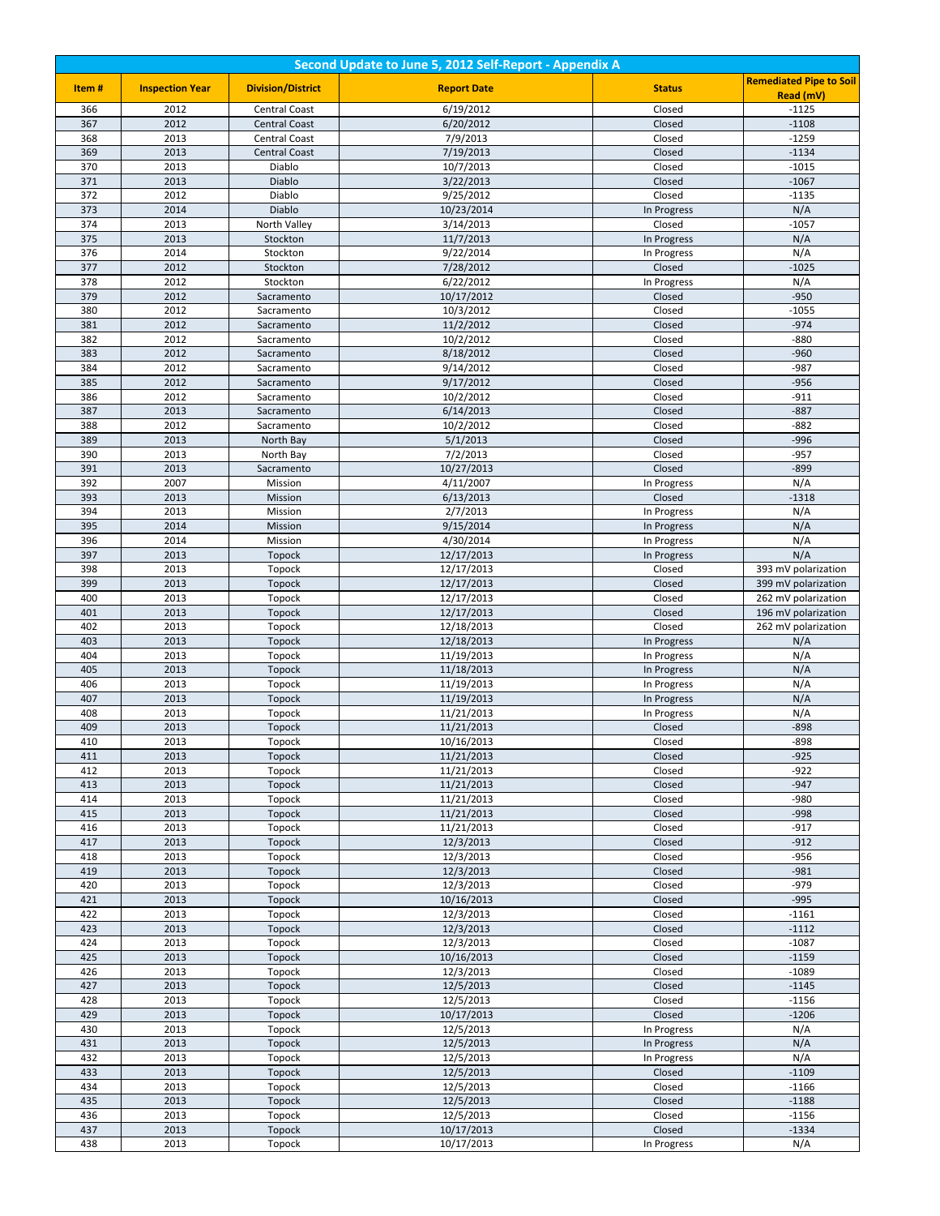| Second Update to June 5, 2012 Self-Report - Appendix A |                        |                                              |                          |                            |                                |
|--------------------------------------------------------|------------------------|----------------------------------------------|--------------------------|----------------------------|--------------------------------|
| Item#                                                  | <b>Inspection Year</b> | <b>Division/District</b>                     | <b>Report Date</b>       | <b>Status</b>              | <b>Remediated Pipe to Soil</b> |
|                                                        |                        |                                              |                          |                            | Read (mV)                      |
| 366<br>367                                             | 2012<br>2012           | <b>Central Coast</b><br><b>Central Coast</b> | 6/19/2012<br>6/20/2012   | Closed                     | $-1125$<br>$-1108$             |
| 368                                                    | 2013                   | Central Coast                                | 7/9/2013                 | Closed<br>Closed           | $-1259$                        |
| 369                                                    | 2013                   | <b>Central Coast</b>                         | 7/19/2013                | Closed                     | $-1134$                        |
| 370                                                    | 2013                   | Diablo                                       | 10/7/2013                | Closed                     | $-1015$                        |
| 371                                                    | 2013                   | Diablo                                       | 3/22/2013                | Closed                     | $-1067$                        |
| 372                                                    | 2012                   | Diablo                                       | 9/25/2012                | Closed                     | $-1135$                        |
| 373                                                    | 2014                   | Diablo                                       | 10/23/2014               | In Progress                | N/A                            |
| 374                                                    | 2013                   | North Valley                                 | 3/14/2013                | Closed                     | $-1057$                        |
| 375<br>376                                             | 2013<br>2014           | Stockton                                     | 11/7/2013<br>9/22/2014   | In Progress                | N/A                            |
| 377                                                    | 2012                   | Stockton<br>Stockton                         | 7/28/2012                | In Progress<br>Closed      | N/A<br>$-1025$                 |
| 378                                                    | 2012                   | Stockton                                     | 6/22/2012                | In Progress                | N/A                            |
| 379                                                    | 2012                   | Sacramento                                   | 10/17/2012               | Closed                     | $-950$                         |
| 380                                                    | 2012                   | Sacramento                                   | 10/3/2012                | Closed                     | $-1055$                        |
| 381                                                    | 2012                   | Sacramento                                   | 11/2/2012                | Closed                     | $-974$                         |
| 382                                                    | 2012                   | Sacramento                                   | 10/2/2012                | Closed                     | $-880$                         |
| 383                                                    | 2012                   | Sacramento                                   | 8/18/2012                | Closed                     | $-960$                         |
| 384                                                    | 2012                   | Sacramento                                   | 9/14/2012                | Closed                     | $-987$                         |
| 385<br>386                                             | 2012<br>2012           | Sacramento<br>Sacramento                     | 9/17/2012<br>10/2/2012   | Closed<br>Closed           | $-956$<br>$-911$               |
| 387                                                    | 2013                   | Sacramento                                   | 6/14/2013                | Closed                     | $-887$                         |
| 388                                                    | 2012                   | Sacramento                                   | 10/2/2012                | Closed                     | $-882$                         |
| 389                                                    | 2013                   | North Bay                                    | 5/1/2013                 | Closed                     | $-996$                         |
| 390                                                    | 2013                   | North Bay                                    | 7/2/2013                 | Closed                     | -957                           |
| 391                                                    | 2013                   | Sacramento                                   | 10/27/2013               | Closed                     | $-899$                         |
| 392                                                    | 2007                   | Mission                                      | 4/11/2007                | In Progress                | N/A                            |
| 393                                                    | 2013                   | Mission                                      | 6/13/2013                | Closed                     | $-1318$                        |
| 394<br>395                                             | 2013<br>2014           | Mission<br>Mission                           | 2/7/2013<br>9/15/2014    | In Progress                | N/A<br>N/A                     |
| 396                                                    | 2014                   | Mission                                      | 4/30/2014                | In Progress<br>In Progress | N/A                            |
| 397                                                    | 2013                   | Topock                                       | 12/17/2013               | In Progress                | N/A                            |
| 398                                                    | 2013                   | Topock                                       | 12/17/2013               | Closed                     | 393 mV polarization            |
| 399                                                    | 2013                   | Topock                                       | 12/17/2013               | Closed                     | 399 mV polarization            |
| 400                                                    | 2013                   | Topock                                       | 12/17/2013               | Closed                     | 262 mV polarization            |
| 401                                                    | 2013                   | Topock                                       | 12/17/2013               | Closed                     | 196 mV polarization            |
| 402                                                    | 2013                   | Topock                                       | 12/18/2013               | Closed                     | 262 mV polarization            |
| 403<br>404                                             | 2013<br>2013           | Topock<br>Topock                             | 12/18/2013<br>11/19/2013 | In Progress<br>In Progress | N/A<br>N/A                     |
| 405                                                    | 2013                   | Topock                                       | 11/18/2013               | In Progress                | N/A                            |
| 406                                                    | 2013                   | Topock                                       | 11/19/2013               | In Progress                | N/A                            |
| 407                                                    | 2013                   | <b>Topock</b>                                | 11/19/2013               | In Progress                | N/A                            |
| 408                                                    | 2013                   | Topock                                       | 11/21/2013               | In Progress                | N/A                            |
| 409                                                    | 2013                   | Topock                                       | 11/21/2013               | Closed                     | $-898$                         |
| 410                                                    | 2013                   | Topock                                       | 10/16/2013               | Closed                     | $-898$                         |
| 411                                                    | 2013                   | Topock                                       | 11/21/2013               | Closed                     | $-925$                         |
| 412<br>413                                             | 2013<br>2013           | Topock<br>Topock                             | 11/21/2013<br>11/21/2013 | Closed<br>Closed           | $-922$<br>$-947$               |
| 414                                                    | 2013                   | Topock                                       | 11/21/2013               | Closed                     | $-980$                         |
| 415                                                    | 2013                   | Topock                                       | 11/21/2013               | Closed                     | $-998$                         |
| 416                                                    | 2013                   | Topock                                       | 11/21/2013               | Closed                     | $-917$                         |
| 417                                                    | 2013                   | Topock                                       | 12/3/2013                | Closed                     | $-912$                         |
| 418                                                    | 2013                   | Topock                                       | 12/3/2013                | Closed                     | $-956$                         |
| 419                                                    | 2013                   | Topock                                       | 12/3/2013                | Closed                     | $-981$                         |
| 420<br>421                                             | 2013<br>2013           | Topock                                       | 12/3/2013<br>10/16/2013  | Closed                     | $-979$<br>$-995$               |
| 422                                                    | 2013                   | Topock<br>Topock                             | 12/3/2013                | Closed<br>Closed           | $-1161$                        |
| 423                                                    | 2013                   | Topock                                       | 12/3/2013                | Closed                     | $-1112$                        |
| 424                                                    | 2013                   | Topock                                       | 12/3/2013                | Closed                     | $-1087$                        |
| 425                                                    | 2013                   | Topock                                       | 10/16/2013               | Closed                     | $-1159$                        |
| 426                                                    | 2013                   | Topock                                       | 12/3/2013                | Closed                     | $-1089$                        |
| 427                                                    | 2013                   | Topock                                       | 12/5/2013                | Closed                     | $-1145$                        |
| 428                                                    | 2013                   | Topock                                       | 12/5/2013                | Closed                     | $-1156$                        |
| 429                                                    | 2013                   | Topock                                       | 10/17/2013               | Closed                     | $-1206$                        |
| 430<br>431                                             | 2013<br>2013           | Topock<br>Topock                             | 12/5/2013<br>12/5/2013   | In Progress<br>In Progress | N/A<br>N/A                     |
| 432                                                    | 2013                   | Topock                                       | 12/5/2013                | In Progress                | N/A                            |
| 433                                                    | 2013                   | Topock                                       | 12/5/2013                | Closed                     | $-1109$                        |
| 434                                                    | 2013                   | Topock                                       | 12/5/2013                | Closed                     | $-1166$                        |
| 435                                                    | 2013                   | Topock                                       | 12/5/2013                | Closed                     | $-1188$                        |
| 436                                                    | 2013                   | Topock                                       | 12/5/2013                | Closed                     | $-1156$                        |
| 437                                                    | 2013                   | Topock                                       | 10/17/2013               | Closed                     | $-1334$                        |
| 438                                                    | 2013                   | Topock                                       | 10/17/2013               | In Progress                | N/A                            |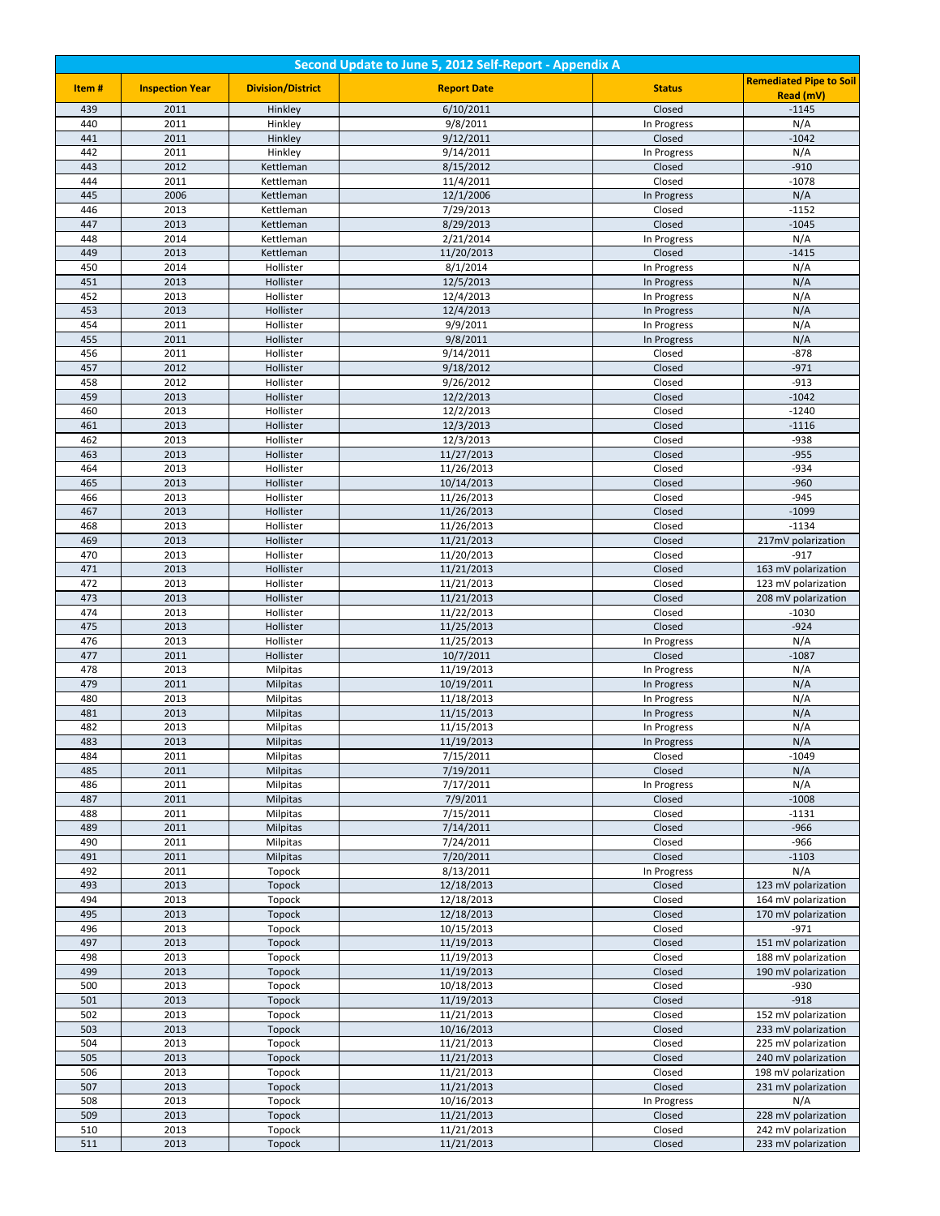| Second Update to June 5, 2012 Self-Report - Appendix A |                        |                             |                          |                       |                                            |
|--------------------------------------------------------|------------------------|-----------------------------|--------------------------|-----------------------|--------------------------------------------|
| Item#                                                  | <b>Inspection Year</b> | <b>Division/District</b>    | <b>Report Date</b>       | <b>Status</b>         | <b>Remediated Pipe to Soil</b>             |
|                                                        |                        |                             |                          |                       | Read (mV)                                  |
| 439<br>440                                             | 2011<br>2011           | Hinkley                     | 6/10/2011<br>9/8/2011    | Closed                | $-1145$                                    |
| 441                                                    | 2011                   | Hinkley<br>Hinkley          | 9/12/2011                | In Progress<br>Closed | N/A<br>$-1042$                             |
| 442                                                    | 2011                   | Hinkley                     | 9/14/2011                | In Progress           | N/A                                        |
| 443                                                    | 2012                   | Kettleman                   | 8/15/2012                | Closed                | $-910$                                     |
| 444                                                    | 2011                   | Kettleman                   | 11/4/2011                | Closed                | $-1078$                                    |
| 445                                                    | 2006                   | Kettleman                   | 12/1/2006                | In Progress           | N/A                                        |
| 446                                                    | 2013                   | Kettleman                   | 7/29/2013                | Closed                | $-1152$                                    |
| 447                                                    | 2013                   | Kettleman                   | 8/29/2013                | Closed                | $-1045$                                    |
| 448<br>449                                             | 2014<br>2013           | Kettleman                   | 2/21/2014                | In Progress<br>Closed | N/A<br>$-1415$                             |
| 450                                                    | 2014                   | Kettleman<br>Hollister      | 11/20/2013<br>8/1/2014   | In Progress           | N/A                                        |
| 451                                                    | 2013                   | Hollister                   | 12/5/2013                | In Progress           | N/A                                        |
| 452                                                    | 2013                   | Hollister                   | 12/4/2013                | In Progress           | N/A                                        |
| 453                                                    | 2013                   | Hollister                   | 12/4/2013                | In Progress           | N/A                                        |
| 454                                                    | 2011                   | Hollister                   | 9/9/2011                 | In Progress           | N/A                                        |
| 455                                                    | 2011                   | Hollister                   | 9/8/2011                 | In Progress           | N/A                                        |
| 456                                                    | 2011                   | Hollister                   | 9/14/2011                | Closed                | $-878$                                     |
| 457                                                    | 2012                   | Hollister                   | 9/18/2012                | Closed                | $-971$                                     |
| 458<br>459                                             | 2012<br>2013           | Hollister                   | 9/26/2012<br>12/2/2013   | Closed<br>Closed      | $-913$<br>$-1042$                          |
| 460                                                    | 2013                   | Hollister<br>Hollister      | 12/2/2013                | Closed                | $-1240$                                    |
| 461                                                    | 2013                   | Hollister                   | 12/3/2013                | Closed                | $-1116$                                    |
| 462                                                    | 2013                   | Hollister                   | 12/3/2013                | Closed                | $-938$                                     |
| 463                                                    | 2013                   | Hollister                   | 11/27/2013               | Closed                | $-955$                                     |
| 464                                                    | 2013                   | Hollister                   | 11/26/2013               | Closed                | $-934$                                     |
| 465                                                    | 2013                   | Hollister                   | 10/14/2013               | Closed                | $-960$                                     |
| 466                                                    | 2013                   | Hollister                   | 11/26/2013               | Closed                | $-945$                                     |
| 467<br>468                                             | 2013<br>2013           | Hollister<br>Hollister      | 11/26/2013<br>11/26/2013 | Closed<br>Closed      | $-1099$<br>$-1134$                         |
| 469                                                    | 2013                   | Hollister                   | 11/21/2013               | Closed                | 217mV polarization                         |
| 470                                                    | 2013                   | Hollister                   | 11/20/2013               | Closed                | $-917$                                     |
| 471                                                    | 2013                   | Hollister                   | 11/21/2013               | Closed                | 163 mV polarization                        |
| 472                                                    | 2013                   | Hollister                   | 11/21/2013               | Closed                | 123 mV polarization                        |
| 473                                                    | 2013                   | Hollister                   | 11/21/2013               | Closed                | 208 mV polarization                        |
| 474                                                    | 2013                   | Hollister                   | 11/22/2013               | Closed                | $-1030$                                    |
| 475                                                    | 2013                   | Hollister                   | 11/25/2013               | Closed                | $-924$                                     |
| 476<br>477                                             | 2013<br>2011           | Hollister                   | 11/25/2013<br>10/7/2011  | In Progress<br>Closed | N/A<br>$-1087$                             |
| 478                                                    | 2013                   | Hollister<br>Milpitas       | 11/19/2013               | In Progress           | N/A                                        |
| 479                                                    | 2011                   | <b>Milpitas</b>             | 10/19/2011               | In Progress           | N/A                                        |
| 480                                                    | 2013                   | Milpitas                    | 11/18/2013               | In Progress           | N/A                                        |
| 481                                                    | 2013                   | <b>Milpitas</b>             | 11/15/2013               | In Progress           | N/A                                        |
| 482                                                    | 2013                   | Milpitas                    | 11/15/2013               | In Progress           | N/A                                        |
| 483                                                    | 2013                   | <b>Milpitas</b>             | 11/19/2013               | In Progress           | N/A                                        |
| 484                                                    | 2011                   | Milpitas                    | 7/15/2011                | Closed                | $-1049$                                    |
| 485<br>486                                             | 2011<br>2011           | <b>Milpitas</b><br>Milpitas | 7/19/2011<br>7/17/2011   | Closed<br>In Progress | N/A<br>N/A                                 |
| 487                                                    | 2011                   | <b>Milpitas</b>             | 7/9/2011                 | Closed                | $-1008$                                    |
| 488                                                    | 2011                   | Milpitas                    | 7/15/2011                | Closed                | $-1131$                                    |
| 489                                                    | 2011                   | Milpitas                    | 7/14/2011                | Closed                | $-966$                                     |
| 490                                                    | 2011                   | Milpitas                    | 7/24/2011                | Closed                | $-966$                                     |
| 491                                                    | 2011                   | <b>Milpitas</b>             | 7/20/2011                | Closed                | $-1103$                                    |
| 492                                                    | 2011                   | Topock                      | 8/13/2011                | In Progress           | N/A                                        |
| 493                                                    | 2013                   | Topock                      | 12/18/2013               | Closed                | 123 mV polarization                        |
| 494<br>495                                             | 2013<br>2013           | Topock<br>Topock            | 12/18/2013<br>12/18/2013 | Closed<br>Closed      | 164 mV polarization<br>170 mV polarization |
| 496                                                    | 2013                   | Topock                      | 10/15/2013               | Closed                | $-971$                                     |
| 497                                                    | 2013                   | Topock                      | 11/19/2013               | Closed                | 151 mV polarization                        |
| 498                                                    | 2013                   | Topock                      | 11/19/2013               | Closed                | 188 mV polarization                        |
| 499                                                    | 2013                   | Topock                      | 11/19/2013               | Closed                | 190 mV polarization                        |
| 500                                                    | 2013                   | Topock                      | 10/18/2013               | Closed                | $-930$                                     |
| 501                                                    | 2013                   | Topock                      | 11/19/2013               | Closed                | $-918$                                     |
| 502                                                    | 2013                   | Topock                      | 11/21/2013               | Closed                | 152 mV polarization                        |
| 503<br>504                                             | 2013<br>2013           | Topock<br>Topock            | 10/16/2013<br>11/21/2013 | Closed<br>Closed      | 233 mV polarization<br>225 mV polarization |
| 505                                                    | 2013                   | Topock                      | 11/21/2013               | Closed                | 240 mV polarization                        |
| 506                                                    | 2013                   | Topock                      | 11/21/2013               | Closed                | 198 mV polarization                        |
| 507                                                    | 2013                   | Topock                      | 11/21/2013               | Closed                | 231 mV polarization                        |
| 508                                                    | 2013                   | Topock                      | 10/16/2013               | In Progress           | N/A                                        |
| 509                                                    | 2013                   | Topock                      | 11/21/2013               | Closed                | 228 mV polarization                        |
| 510                                                    | 2013                   | Topock                      | 11/21/2013               | Closed                | 242 mV polarization                        |
| 511                                                    | 2013                   | Topock                      | 11/21/2013               | Closed                | 233 mV polarization                        |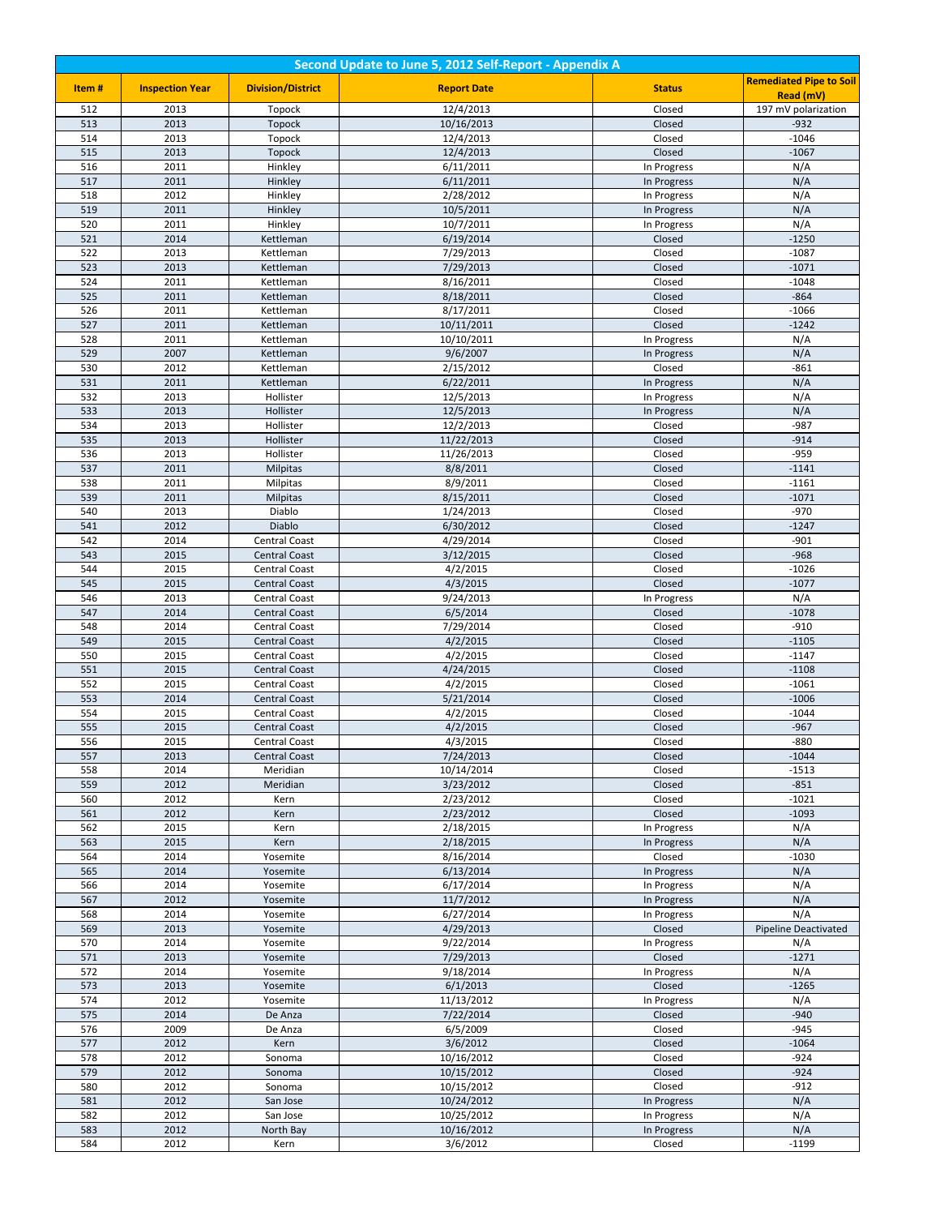| Second Update to June 5, 2012 Self-Report - Appendix A |                        |                                       |                          |                            |                                |
|--------------------------------------------------------|------------------------|---------------------------------------|--------------------------|----------------------------|--------------------------------|
| Item#                                                  | <b>Inspection Year</b> | <b>Division/District</b>              | <b>Report Date</b>       | <b>Status</b>              | <b>Remediated Pipe to Soil</b> |
|                                                        |                        |                                       |                          |                            | Read (mV)                      |
| 512                                                    | 2013                   | Topock                                | 12/4/2013                | Closed                     | 197 mV polarization            |
| 513                                                    | 2013                   | Topock                                | 10/16/2013               | Closed                     | $-932$                         |
| 514<br>515                                             | 2013<br>2013           | Topock<br>Topock                      | 12/4/2013<br>12/4/2013   | Closed<br>Closed           | $-1046$<br>$-1067$             |
| 516                                                    | 2011                   | Hinkley                               | 6/11/2011                | In Progress                | N/A                            |
| 517                                                    | 2011                   | Hinkley                               | 6/11/2011                | In Progress                | N/A                            |
| 518                                                    | 2012                   | Hinkley                               | 2/28/2012                | In Progress                | N/A                            |
| 519                                                    | 2011                   | Hinkley                               | 10/5/2011                | In Progress                | N/A                            |
| 520                                                    | 2011                   | Hinkley                               | 10/7/2011                | In Progress                | N/A                            |
| 521                                                    | 2014                   | Kettleman                             | 6/19/2014                | Closed                     | $-1250$                        |
| 522                                                    | 2013                   | Kettleman                             | 7/29/2013                | Closed                     | $-1087$                        |
| 523                                                    | 2013                   | Kettleman                             | 7/29/2013                | Closed                     | $-1071$                        |
| 524                                                    | 2011                   | Kettleman                             | 8/16/2011                | Closed                     | $-1048$                        |
| 525                                                    | 2011                   | Kettleman                             | 8/18/2011                | Closed                     | $-864$                         |
| 526                                                    | 2011                   | Kettleman                             | 8/17/2011                | Closed                     | $-1066$                        |
| 527                                                    | 2011                   | Kettleman                             | 10/11/2011               | Closed                     | $-1242$                        |
| 528                                                    | 2011                   | Kettleman                             | 10/10/2011               | In Progress                | N/A                            |
| 529                                                    | 2007                   | Kettleman                             | 9/6/2007                 | In Progress                | N/A                            |
| 530                                                    | 2012                   | Kettleman                             | 2/15/2012                | Closed                     | $-861$                         |
| 531                                                    | 2011                   | Kettleman                             | 6/22/2011                | In Progress                | N/A                            |
| 532<br>533                                             | 2013<br>2013           | Hollister<br>Hollister                | 12/5/2013<br>12/5/2013   | In Progress<br>In Progress | N/A<br>N/A                     |
| 534                                                    | 2013                   | Hollister                             | 12/2/2013                | Closed                     | $-987$                         |
| 535                                                    | 2013                   | Hollister                             | 11/22/2013               | Closed                     | $-914$                         |
| 536                                                    | 2013                   | Hollister                             | 11/26/2013               | Closed                     | $-959$                         |
| 537                                                    | 2011                   | <b>Milpitas</b>                       | 8/8/2011                 | Closed                     | $-1141$                        |
| 538                                                    | 2011                   | Milpitas                              | 8/9/2011                 | Closed                     | $-1161$                        |
| 539                                                    | 2011                   | <b>Milpitas</b>                       | 8/15/2011                | Closed                     | $-1071$                        |
| 540                                                    | 2013                   | Diablo                                | 1/24/2013                | Closed                     | $-970$                         |
| 541                                                    | 2012                   | Diablo                                | 6/30/2012                | Closed                     | $-1247$                        |
| 542                                                    | 2014                   | Central Coast                         | 4/29/2014                | Closed                     | $-901$                         |
| 543                                                    | 2015                   | <b>Central Coast</b>                  | 3/12/2015                | Closed                     | $-968$                         |
| 544                                                    | 2015                   | <b>Central Coast</b>                  | 4/2/2015                 | Closed                     | $-1026$                        |
| 545                                                    | 2015                   | <b>Central Coast</b>                  | 4/3/2015                 | Closed                     | $-1077$                        |
| 546                                                    | 2013                   | Central Coast                         | 9/24/2013                | In Progress                | N/A                            |
| 547                                                    | 2014                   | <b>Central Coast</b>                  | 6/5/2014                 | Closed                     | $-1078$                        |
| 548<br>549                                             | 2014<br>2015           | Central Coast                         | 7/29/2014<br>4/2/2015    | Closed<br>Closed           | $-910$<br>$-1105$              |
| 550                                                    | 2015                   | <b>Central Coast</b><br>Central Coast | 4/2/2015                 | Closed                     | $-1147$                        |
| 551                                                    | 2015                   | <b>Central Coast</b>                  | 4/24/2015                | Closed                     | $-1108$                        |
| 552                                                    | 2015                   | Central Coast                         | 4/2/2015                 | Closed                     | $-1061$                        |
| 553                                                    | 2014                   | <b>Central Coast</b>                  | 5/21/2014                | Closed                     | $-1006$                        |
| 554                                                    | 2015                   | Central Coast                         | 4/2/2015                 | Closed                     | $-1044$                        |
| 555                                                    | 2015                   | <b>Central Coast</b>                  | 4/2/2015                 | Closed                     | $-967$                         |
| 556                                                    | 2015                   | <b>Central Coast</b>                  | 4/3/2015                 | Closed                     | $-880$                         |
| 557                                                    | 2013                   | <b>Central Coast</b>                  | 7/24/2013                | Closed                     | $-1044$                        |
| 558                                                    | 2014                   | Meridian                              | 10/14/2014               | Closed                     | $-1513$                        |
| 559                                                    | 2012                   | Meridian                              | 3/23/2012                | Closed                     | $-851$                         |
| 560                                                    | 2012                   | Kern                                  | 2/23/2012                | Closed                     | $-1021$                        |
| 561                                                    | 2012                   | Kern                                  | 2/23/2012                | Closed                     | $-1093$                        |
| 562                                                    | 2015                   | Kern                                  | 2/18/2015                | In Progress                | N/A                            |
| 563<br>564                                             | 2015<br>2014           | Kern<br>Yosemite                      | 2/18/2015<br>8/16/2014   | In Progress<br>Closed      | N/A<br>$-1030$                 |
| 565                                                    | 2014                   | Yosemite                              | 6/13/2014                | In Progress                | N/A                            |
| 566                                                    | 2014                   | Yosemite                              | 6/17/2014                | In Progress                | N/A                            |
| 567                                                    | 2012                   | Yosemite                              | 11/7/2012                | In Progress                | N/A                            |
| 568                                                    | $\overline{2014}$      | Yosemite                              | 6/27/2014                | In Progress                | N/A                            |
| 569                                                    | 2013                   | Yosemite                              | 4/29/2013                | Closed                     | <b>Pipeline Deactivated</b>    |
| 570                                                    | 2014                   | Yosemite                              | 9/22/2014                | In Progress                | N/A                            |
| 571                                                    | 2013                   | Yosemite                              | 7/29/2013                | Closed                     | $-1271$                        |
| 572                                                    | 2014                   | Yosemite                              | 9/18/2014                | In Progress                | N/A                            |
| 573                                                    | 2013                   | Yosemite                              | 6/1/2013                 | Closed                     | $-1265$                        |
| 574                                                    | 2012                   | Yosemite                              | 11/13/2012               | In Progress                | N/A                            |
| 575                                                    | 2014                   | De Anza                               | 7/22/2014                | Closed                     | $-940$                         |
| 576                                                    | 2009                   | De Anza                               | 6/5/2009                 | Closed                     | $-945$                         |
| 577                                                    | 2012                   | Kern                                  | 3/6/2012                 | Closed                     | $-1064$                        |
| 578                                                    | 2012                   | Sonoma                                | 10/16/2012               | Closed                     | $-924$<br>$-924$               |
| 579<br>580                                             | 2012<br>2012           | Sonoma<br>Sonoma                      | 10/15/2012<br>10/15/2012 | Closed<br>Closed           | $-912$                         |
| 581                                                    | 2012                   | San Jose                              | 10/24/2012               | In Progress                | N/A                            |
| 582                                                    | 2012                   | San Jose                              | 10/25/2012               | In Progress                | N/A                            |
| 583                                                    | 2012                   | North Bay                             | 10/16/2012               | In Progress                | N/A                            |
| 584                                                    | 2012                   | Kern                                  | 3/6/2012                 | Closed                     | $-1199$                        |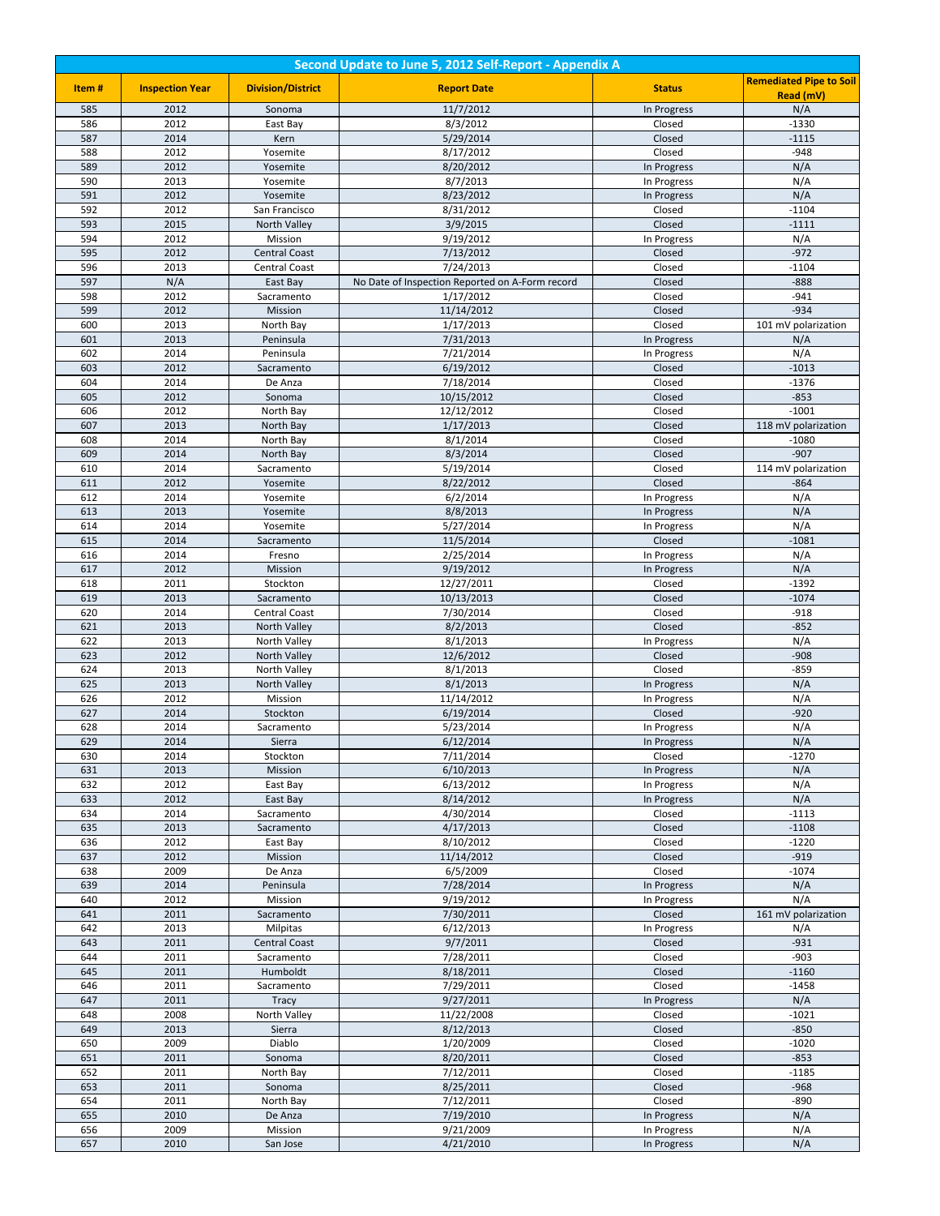| Second Update to June 5, 2012 Self-Report - Appendix A |                        |                              |                                                 |                       |                                |
|--------------------------------------------------------|------------------------|------------------------------|-------------------------------------------------|-----------------------|--------------------------------|
| Item#                                                  | <b>Inspection Year</b> | <b>Division/District</b>     | <b>Report Date</b>                              | <b>Status</b>         | <b>Remediated Pipe to Soil</b> |
|                                                        |                        |                              |                                                 |                       | Read (mV)                      |
| 585                                                    | 2012                   | Sonoma                       | 11/7/2012                                       | In Progress           | N/A                            |
| 586                                                    | 2012                   | East Bay                     | 8/3/2012                                        | Closed                | $-1330$                        |
| 587<br>588                                             | 2014<br>2012           | Kern                         | 5/29/2014<br>8/17/2012                          | Closed<br>Closed      | $-1115$<br>$-948$              |
| 589                                                    | 2012                   | Yosemite<br>Yosemite         | 8/20/2012                                       | In Progress           | N/A                            |
| 590                                                    | 2013                   | Yosemite                     | 8/7/2013                                        | In Progress           | N/A                            |
| 591                                                    | 2012                   | Yosemite                     | 8/23/2012                                       | In Progress           | N/A                            |
| 592                                                    | 2012                   | San Francisco                | 8/31/2012                                       | Closed                | $-1104$                        |
| 593                                                    | 2015                   | North Valley                 | 3/9/2015                                        | Closed                | $-1111$                        |
| 594                                                    | 2012                   | Mission                      | 9/19/2012                                       | In Progress           | N/A                            |
| 595                                                    | 2012                   | <b>Central Coast</b>         | 7/13/2012                                       | Closed                | $-972$                         |
| 596                                                    | 2013                   | Central Coast                | 7/24/2013                                       | Closed                | $-1104$                        |
| 597                                                    | N/A                    | East Bay                     | No Date of Inspection Reported on A-Form record | Closed                | $-888$                         |
| 598                                                    | 2012                   | Sacramento                   | 1/17/2012                                       | Closed                | $-941$                         |
| 599                                                    | 2012                   | Mission                      | 11/14/2012                                      | Closed                | $-934$                         |
| 600                                                    | 2013                   | North Bay                    | 1/17/2013                                       | Closed                | 101 mV polarization            |
| 601                                                    | 2013                   | Peninsula                    | 7/31/2013                                       | In Progress           | N/A                            |
| 602                                                    | 2014                   | Peninsula                    | 7/21/2014                                       | In Progress           | N/A                            |
| 603                                                    | 2012                   | Sacramento                   | 6/19/2012                                       | Closed                | $-1013$                        |
| 604<br>605                                             | 2014                   | De Anza                      | 7/18/2014                                       | Closed                | $-1376$                        |
|                                                        | 2012<br>2012           | Sonoma                       | 10/15/2012<br>12/12/2012                        | Closed                | $-853$<br>$-1001$              |
| 606<br>607                                             | 2013                   | North Bay<br>North Bay       | 1/17/2013                                       | Closed<br>Closed      | 118 mV polarization            |
| 608                                                    | 2014                   | North Bay                    | 8/1/2014                                        | Closed                | $-1080$                        |
| 609                                                    | 2014                   | North Bay                    | 8/3/2014                                        | Closed                | $-907$                         |
| 610                                                    | 2014                   | Sacramento                   | 5/19/2014                                       | Closed                | 114 mV polarization            |
| 611                                                    | 2012                   | Yosemite                     | 8/22/2012                                       | Closed                | $-864$                         |
| 612                                                    | 2014                   | Yosemite                     | 6/2/2014                                        | In Progress           | N/A                            |
| 613                                                    | 2013                   | Yosemite                     | 8/8/2013                                        | In Progress           | N/A                            |
| 614                                                    | 2014                   | Yosemite                     | 5/27/2014                                       | In Progress           | N/A                            |
| 615                                                    | 2014                   | Sacramento                   | 11/5/2014                                       | Closed                | $-1081$                        |
| 616                                                    | 2014                   | Fresno                       | 2/25/2014                                       | In Progress           | N/A                            |
| 617                                                    | 2012                   | Mission                      | 9/19/2012                                       | In Progress           | N/A                            |
| 618                                                    | 2011                   | Stockton                     | 12/27/2011                                      | Closed                | $-1392$                        |
| 619                                                    | 2013                   | Sacramento                   | 10/13/2013                                      | Closed                | $-1074$                        |
| 620                                                    | 2014                   | Central Coast                | 7/30/2014                                       | Closed                | $-918$                         |
| 621<br>622                                             | 2013<br>2013           | North Valley                 | 8/2/2013<br>8/1/2013                            | Closed                | $-852$<br>N/A                  |
| 623                                                    | 2012                   | North Valley<br>North Valley | 12/6/2012                                       | In Progress<br>Closed | $-908$                         |
| 624                                                    | 2013                   | North Valley                 | 8/1/2013                                        | Closed                | $-859$                         |
| 625                                                    | 2013                   | North Valley                 | 8/1/2013                                        | In Progress           | N/A                            |
| 626                                                    | 2012                   | Mission                      | 11/14/2012                                      | In Progress           | N/A                            |
| 627                                                    | 2014                   | Stockton                     | 6/19/2014                                       | Closed                | $-920$                         |
| 628                                                    | 2014                   | Sacramento                   | 5/23/2014                                       | In Progress           | N/A                            |
| 629                                                    | 2014                   | Sierra                       | 6/12/2014                                       | In Progress           | N/A                            |
| 630                                                    | 2014                   | Stockton                     | 7/11/2014                                       | Closed                | $-1270$                        |
| 631                                                    | 2013                   | Mission                      | 6/10/2013                                       | In Progress           | N/A                            |
| 632                                                    | 2012                   | East Bay                     | 6/13/2012                                       | In Progress           | N/A                            |
| 633                                                    | 2012                   | East Bay                     | 8/14/2012                                       | In Progress           | N/A                            |
| 634                                                    | 2014                   | Sacramento                   | 4/30/2014                                       | Closed                | $-1113$                        |
| 635                                                    | 2013                   | Sacramento                   | 4/17/2013                                       | Closed                | $-1108$                        |
| 636<br>637                                             | 2012<br>2012           | East Bay                     | 8/10/2012<br>11/14/2012                         | Closed<br>Closed      | $-1220$<br>$-919$              |
| 638                                                    | 2009                   | Mission<br>De Anza           | 6/5/2009                                        | Closed                | $-1074$                        |
| 639                                                    | 2014                   | Peninsula                    | 7/28/2014                                       | In Progress           | N/A                            |
| 640                                                    | 2012                   | Mission                      | 9/19/2012                                       | In Progress           | N/A                            |
| 641                                                    | 2011                   | Sacramento                   | 7/30/2011                                       | Closed                | 161 mV polarization            |
| 642                                                    | 2013                   | Milpitas                     | 6/12/2013                                       | In Progress           | N/A                            |
| 643                                                    | 2011                   | <b>Central Coast</b>         | 9/7/2011                                        | Closed                | $-931$                         |
| 644                                                    | 2011                   | Sacramento                   | 7/28/2011                                       | Closed                | $-903$                         |
| 645                                                    | 2011                   | Humboldt                     | 8/18/2011                                       | Closed                | $-1160$                        |
| 646                                                    | 2011                   | Sacramento                   | 7/29/2011                                       | Closed                | $-1458$                        |
| 647                                                    | 2011                   | Tracy                        | 9/27/2011                                       | In Progress           | N/A                            |
| 648                                                    | 2008                   | North Valley                 | 11/22/2008                                      | Closed                | $-1021$                        |
| 649                                                    | 2013                   | Sierra                       | 8/12/2013                                       | Closed                | $-850$                         |
| 650                                                    | 2009                   | Diablo                       | 1/20/2009                                       | Closed                | $-1020$                        |
| 651                                                    | 2011                   | Sonoma                       | 8/20/2011                                       | Closed                | $-853$                         |
| 652<br>653                                             | 2011<br>2011           | North Bay                    | 7/12/2011<br>8/25/2011                          | Closed<br>Closed      | $-1185$<br>$-968$              |
| 654                                                    | 2011                   | Sonoma<br>North Bay          | 7/12/2011                                       | Closed                | $-890$                         |
| 655                                                    | 2010                   | De Anza                      | 7/19/2010                                       | In Progress           | N/A                            |
| 656                                                    | 2009                   | Mission                      | 9/21/2009                                       | In Progress           | N/A                            |
| 657                                                    | 2010                   | San Jose                     | 4/21/2010                                       | In Progress           | N/A                            |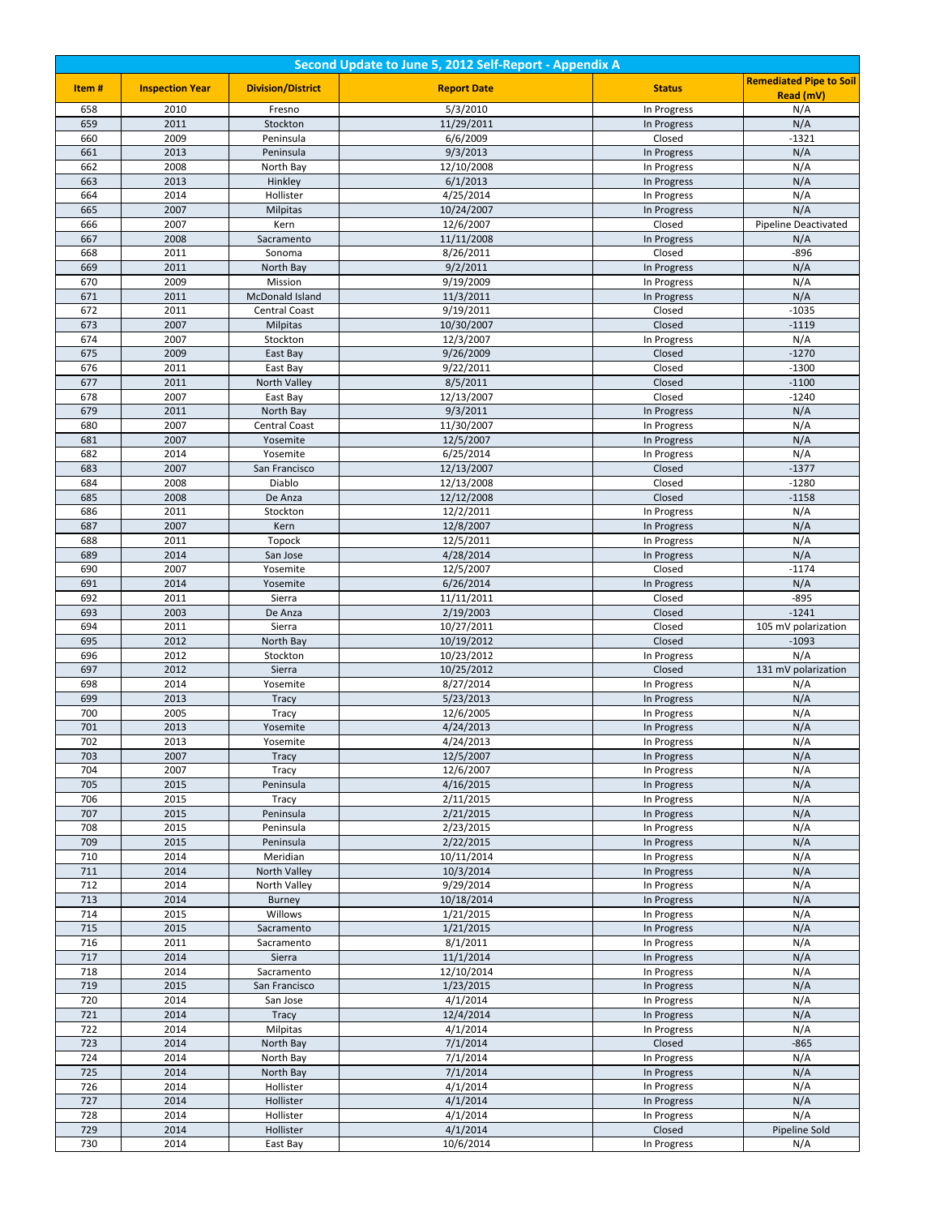| Second Update to June 5, 2012 Self-Report - Appendix A |                        |                               |                          |                            |                                |  |
|--------------------------------------------------------|------------------------|-------------------------------|--------------------------|----------------------------|--------------------------------|--|
| Item#                                                  | <b>Inspection Year</b> | <b>Division/District</b>      | <b>Report Date</b>       | <b>Status</b>              | <b>Remediated Pipe to Soil</b> |  |
|                                                        |                        |                               |                          |                            | Read (mV)                      |  |
| 658<br>659                                             | 2010<br>2011           | Fresno<br>Stockton            | 5/3/2010<br>11/29/2011   | In Progress                | N/A<br>N/A                     |  |
| 660                                                    | 2009                   | Peninsula                     | 6/6/2009                 | In Progress<br>Closed      | $-1321$                        |  |
| 661                                                    | 2013                   | Peninsula                     | 9/3/2013                 | In Progress                | N/A                            |  |
| 662                                                    | 2008                   | North Bay                     | 12/10/2008               | In Progress                | N/A                            |  |
| 663                                                    | 2013                   | Hinkley                       | 6/1/2013                 | In Progress                | N/A                            |  |
| 664                                                    | 2014                   | Hollister                     | 4/25/2014                | In Progress                | N/A                            |  |
| 665                                                    | 2007                   | <b>Milpitas</b>               | 10/24/2007               | In Progress                | N/A                            |  |
| 666                                                    | 2007                   | Kern                          | 12/6/2007                | Closed                     | <b>Pipeline Deactivated</b>    |  |
| 667<br>668                                             | 2008<br>2011           | Sacramento<br>Sonoma          | 11/11/2008<br>8/26/2011  | In Progress<br>Closed      | N/A<br>$-896$                  |  |
| 669                                                    | 2011                   | North Bay                     | 9/2/2011                 | In Progress                | N/A                            |  |
| 670                                                    | 2009                   | Mission                       | 9/19/2009                | In Progress                | N/A                            |  |
| 671                                                    | 2011                   | McDonald Island               | 11/3/2011                | In Progress                | N/A                            |  |
| 672                                                    | 2011                   | Central Coast                 | 9/19/2011                | Closed                     | $-1035$                        |  |
| 673                                                    | 2007                   | <b>Milpitas</b>               | 10/30/2007               | Closed                     | $-1119$                        |  |
| 674                                                    | 2007                   | Stockton                      | 12/3/2007                | In Progress                | N/A                            |  |
| 675                                                    | 2009                   | East Bay                      | 9/26/2009                | Closed                     | $-1270$                        |  |
| 676                                                    | 2011                   | East Bay                      | 9/22/2011                | Closed                     | $-1300$                        |  |
| 677<br>678                                             | 2011<br>2007           | North Valley<br>East Bay      | 8/5/2011<br>12/13/2007   | Closed<br>Closed           | $-1100$<br>$-1240$             |  |
| 679                                                    | 2011                   | North Bay                     | 9/3/2011                 | In Progress                | N/A                            |  |
| 680                                                    | 2007                   | Central Coast                 | 11/30/2007               | In Progress                | N/A                            |  |
| 681                                                    | 2007                   | Yosemite                      | 12/5/2007                | In Progress                | N/A                            |  |
| 682                                                    | 2014                   | Yosemite                      | 6/25/2014                | In Progress                | N/A                            |  |
| 683                                                    | 2007                   | San Francisco                 | 12/13/2007               | Closed                     | $-1377$                        |  |
| 684                                                    | 2008                   | Diablo                        | 12/13/2008               | Closed                     | $-1280$                        |  |
| 685                                                    | 2008                   | De Anza                       | 12/12/2008               | Closed                     | $-1158$                        |  |
| 686<br>687                                             | 2011<br>2007           | Stockton<br>Kern              | 12/2/2011<br>12/8/2007   | In Progress<br>In Progress | N/A<br>N/A                     |  |
| 688                                                    | 2011                   | Topock                        | 12/5/2011                | In Progress                | N/A                            |  |
| 689                                                    | 2014                   | San Jose                      | 4/28/2014                | In Progress                | N/A                            |  |
| 690                                                    | 2007                   | Yosemite                      | 12/5/2007                | Closed                     | $-1174$                        |  |
| 691                                                    | 2014                   | Yosemite                      | 6/26/2014                | In Progress                | N/A                            |  |
| 692                                                    | 2011                   | Sierra                        | 11/11/2011               | Closed                     | $-895$                         |  |
| 693                                                    | 2003                   | De Anza                       | 2/19/2003                | Closed                     | $-1241$                        |  |
| 694                                                    | 2011                   | Sierra                        | 10/27/2011               | Closed                     | 105 mV polarization            |  |
| 695<br>696                                             | 2012<br>2012           | North Bay<br>Stockton         | 10/19/2012<br>10/23/2012 | Closed<br>In Progress      | $-1093$<br>N/A                 |  |
| 697                                                    | 2012                   | Sierra                        | 10/25/2012               | Closed                     | 131 mV polarization            |  |
| 698                                                    | 2014                   | Yosemite                      | 8/27/2014                | In Progress                | N/A                            |  |
| 699                                                    | 2013                   | Tracy                         | 5/23/2013                | In Progress                | N/A                            |  |
| 700                                                    | 2005                   | Tracy                         | 12/6/2005                | In Progress                | N/A                            |  |
| 701                                                    | 2013                   | Yosemite                      | 4/24/2013                | In Progress                | N/A                            |  |
| 702                                                    | 2013                   | Yosemite                      | 4/24/2013                | In Progress                | N/A                            |  |
| 703                                                    | 2007                   | Tracy                         | 12/5/2007                | In Progress                | N/A                            |  |
| 704<br>705                                             | 2007<br>2015           | Tracy<br>Peninsula            | 12/6/2007<br>4/16/2015   | In Progress<br>In Progress | N/A<br>N/A                     |  |
| 706                                                    | 2015                   | Tracy                         | 2/11/2015                | In Progress                | N/A                            |  |
| 707                                                    | 2015                   | Peninsula                     | 2/21/2015                | In Progress                | N/A                            |  |
| 708                                                    | 2015                   | Peninsula                     | 2/23/2015                | In Progress                | N/A                            |  |
| 709                                                    | 2015                   | Peninsula                     | 2/22/2015                | In Progress                | N/A                            |  |
| 710                                                    | 2014                   | Meridian                      | 10/11/2014               | In Progress                | N/A                            |  |
| 711                                                    | 2014                   | North Valley                  | 10/3/2014                | In Progress                | N/A                            |  |
| 712<br>713                                             | 2014<br>2014           | North Valley<br><b>Burney</b> | 9/29/2014<br>10/18/2014  | In Progress<br>In Progress | N/A<br>N/A                     |  |
| 714                                                    | 2015                   | Willows                       | 1/21/2015                | In Progress                | N/A                            |  |
| 715                                                    | 2015                   | Sacramento                    | 1/21/2015                | In Progress                | N/A                            |  |
| 716                                                    | 2011                   | Sacramento                    | 8/1/2011                 | In Progress                | N/A                            |  |
| 717                                                    | 2014                   | Sierra                        | 11/1/2014                | In Progress                | N/A                            |  |
| 718                                                    | 2014                   | Sacramento                    | 12/10/2014               | In Progress                | N/A                            |  |
| 719                                                    | 2015                   | San Francisco                 | 1/23/2015                | In Progress                | N/A                            |  |
| 720                                                    | 2014                   | San Jose                      | 4/1/2014                 | In Progress                | N/A                            |  |
| 721                                                    | 2014                   | <b>Tracy</b>                  | 12/4/2014                | In Progress                | N/A                            |  |
| 722<br>723                                             | 2014<br>2014           | Milpitas<br>North Bay         | 4/1/2014<br>7/1/2014     | In Progress<br>Closed      | N/A<br>$-865$                  |  |
| 724                                                    | 2014                   | North Bay                     | 7/1/2014                 | In Progress                | N/A                            |  |
| 725                                                    | 2014                   | North Bay                     | 7/1/2014                 | In Progress                | N/A                            |  |
| 726                                                    | 2014                   | Hollister                     | 4/1/2014                 | In Progress                | N/A                            |  |
| 727                                                    | 2014                   | Hollister                     | 4/1/2014                 | In Progress                | N/A                            |  |
| 728                                                    | 2014                   | Hollister                     | 4/1/2014                 | In Progress                | N/A                            |  |
| 729                                                    | 2014                   | Hollister                     | 4/1/2014                 | Closed                     | Pipeline Sold                  |  |
| 730                                                    | 2014                   | East Bay                      | 10/6/2014                | In Progress                | N/A                            |  |